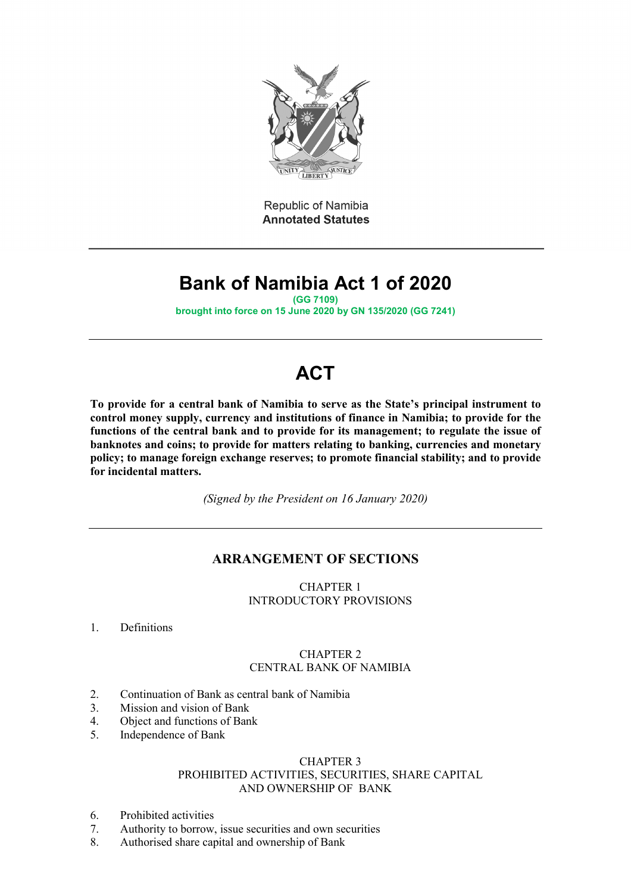

Republic of Namibia **Annotated Statutes** 

# **Bank of Namibia Act 1 of 2020**

**(GG 7109)**

**brought into force on 15 June 2020 by GN 135/2020 (GG 7241)**

# **ACT**

**To provide for a central bank of Namibia to serve as the State's principal instrument to control money supply, currency and institutions of finance in Namibia; to provide for the functions of the central bank and to provide for its management; to regulate the issue of banknotes and coins; to provide for matters relating to banking, currencies and monetary policy; to manage foreign exchange reserves; to promote financial stability; and to provide for incidental matters.**

*(Signed by the President on 16 January 2020)*

# **ARRANGEMENT OF SECTIONS**

CHAPTER 1 INTRODUCTORY PROVISIONS

1. Definitions

# CHAPTER 2 CENTRAL BANK OF NAMIBIA

- 2. Continuation of Bank as central bank of Namibia
- 3. Mission and vision of Bank
- 4. Object and functions of Bank
- 5. Independence of Bank

## CHAPTER 3 PROHIBITED ACTIVITIES, SECURITIES, SHARE CAPITAL AND OWNERSHIP OF BANK

- 6. Prohibited activities
- 7. Authority to borrow, issue securities and own securities
- 8. Authorised share capital and ownership of Bank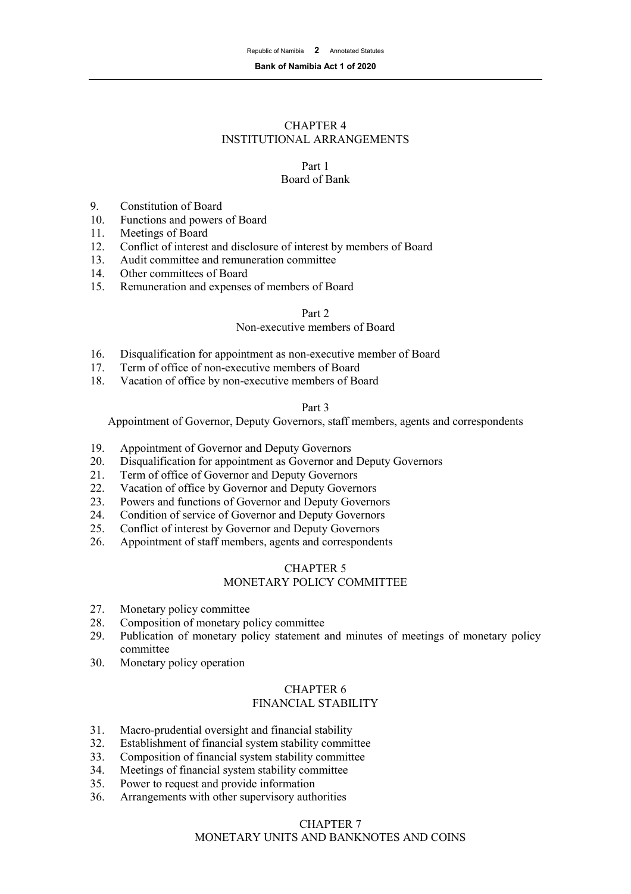## CHAPTER 4 INSTITUTIONAL ARRANGEMENTS

# Part 1

# Board of Bank

- 9. Constitution of Board<br>10. Functions and powers
- Functions and powers of Board
- 11. Meetings of Board
- 12. Conflict of interest and disclosure of interest by members of Board
- 13. Audit committee and remuneration committee<br>14. Other committees of Board
- 14. Other committees of Board<br>15. Remuneration and expenses
- Remuneration and expenses of members of Board

## Part 2

## Non-executive members of Board

- 16. Disqualification for appointment as non-executive member of Board
- 17. Term of office of non-executive members of Board<br>18. Vacation of office by non-executive members of Bo
- Vacation of office by non-executive members of Board

#### Part 3

Appointment of Governor, Deputy Governors, staff members, agents and correspondents

- 19. Appointment of Governor and Deputy Governors
- 20. Disqualification for appointment as Governor and Deputy Governors
- 21. Term of office of Governor and Deputy Governors
- 22. Vacation of office by Governor and Deputy Governors
- 23. Powers and functions of Governor and Deputy Governors
- 24. Condition of service of Governor and Deputy Governors
- 25. Conflict of interest by Governor and Deputy Governors
- 26. Appointment of staff members, agents and correspondents

## CHAPTER 5 MONETARY POLICY COMMITTEE

- 27. Monetary policy committee
- 28. Composition of monetary policy committee
- 29. Publication of monetary policy statement and minutes of meetings of monetary policy committee
- 30. Monetary policy operation

#### CHAPTER 6 FINANCIAL STABILITY

- 31. Macro-prudential oversight and financial stability
- 32. Establishment of financial system stability committee
- 33. Composition of financial system stability committee
- 34. Meetings of financial system stability committee
- 35. Power to request and provide information
- 36. Arrangements with other supervisory authorities

# CHAPTER 7 MONETARY UNITS AND BANKNOTES AND COINS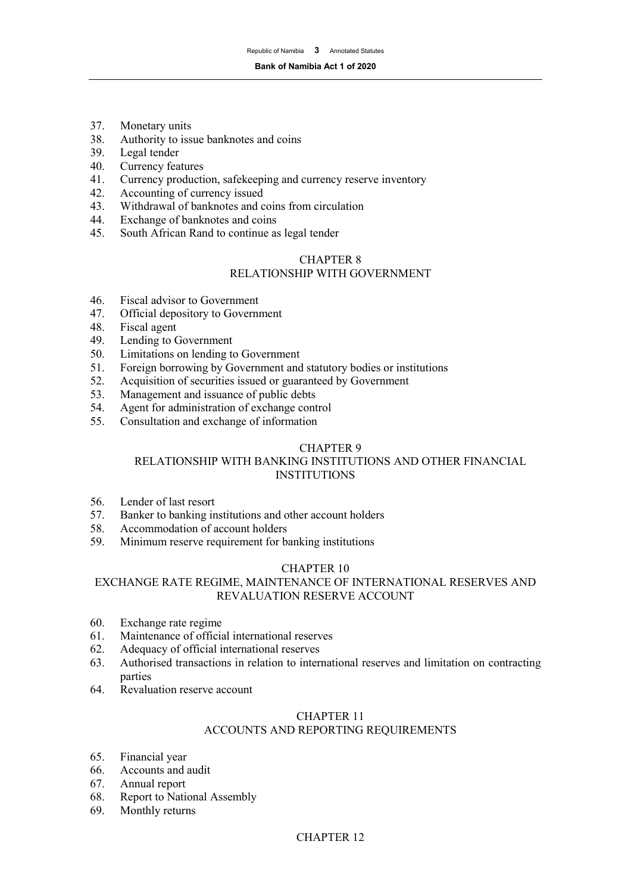- 37. Monetary units
- 38. Authority to issue banknotes and coins<br>39. Legal tender
- Legal tender
- 40. Currency features<br>41. Currency producti
- 41. Currency production, safekeeping and currency reserve inventory<br>42. Accounting of currency issued
- 42. Accounting of currency issued<br>43. Withdrawal of banknotes and c
- 43. Withdrawal of banknotes and coins from circulation<br>44. Exchange of banknotes and coins
- Exchange of banknotes and coins
- 45. South African Rand to continue as legal tender

## CHAPTER 8 RELATIONSHIP WITH GOVERNMENT

- 46. Fiscal advisor to Government<br>47. Official depository to Govern
- Official depository to Government
- 48. Fiscal agent<br>49. Lending to 0
- 49. Lending to Government<br>50. Limitations on lending to
- 50. Limitations on lending to Government<br>51. Foreign borrowing by Government and
- 51. Foreign borrowing by Government and statutory bodies or institutions<br>52. Acquisition of securities issued or guaranteed by Government
- Acquisition of securities issued or guaranteed by Government
- 53. Management and issuance of public debts
- 54. Agent for administration of exchange control
- 55. Consultation and exchange of information

## CHAPTER 9

## RELATIONSHIP WITH BANKING INSTITUTIONS AND OTHER FINANCIAL **INSTITUTIONS**

- 56. Lender of last resort
- 57. Banker to banking institutions and other account holders
- 58. Accommodation of account holders<br>59. Minimum reserve requirement for b
- Minimum reserve requirement for banking institutions

## CHAPTER 10

## EXCHANGE RATE REGIME, MAINTENANCE OF INTERNATIONAL RESERVES AND REVALUATION RESERVE ACCOUNT

- 60. Exchange rate regime
- 61. Maintenance of official international reserves
- 62. Adequacy of official international reserves
- 63. Authorised transactions in relation to international reserves and limitation on contracting parties
- 64. Revaluation reserve account

## CHAPTER 11

## ACCOUNTS AND REPORTING REQUIREMENTS

- 65. Financial year<br>66. Accounts and
- Accounts and audit
- 67. Annual report
- 68. Report to National Assembly
- 69. Monthly returns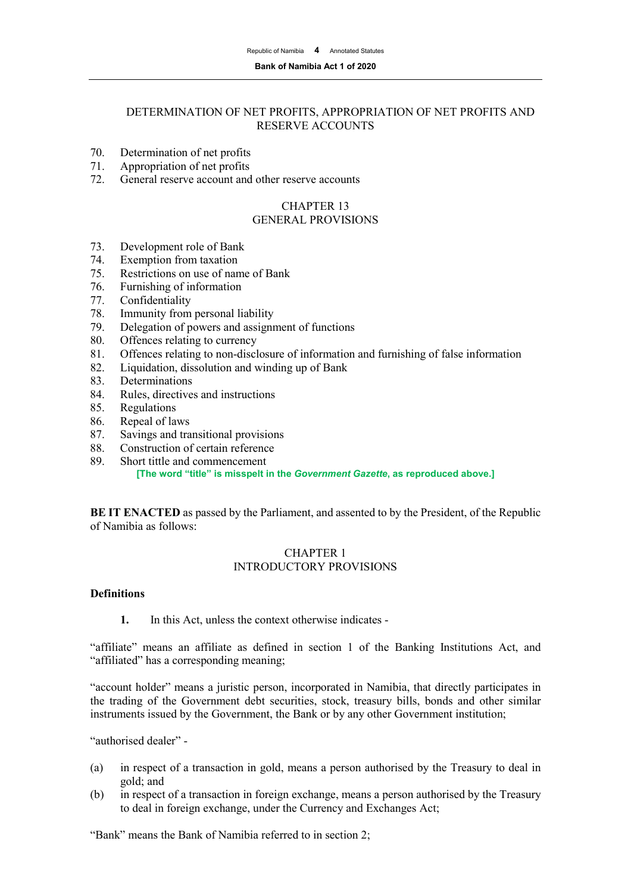#### **Bank of Namibia Act 1 of 2020**

## DETERMINATION OF NET PROFITS, APPROPRIATION OF NET PROFITS AND RESERVE ACCOUNTS

- 70. Determination of net profits
- 71. Appropriation of net profits<br>72. General reserve account and
- General reserve account and other reserve accounts

#### CHAPTER 13 GENERAL PROVISIONS

- 73. Development role of Bank
- 74. Exemption from taxation<br>75. Restrictions on use of nan
- Restrictions on use of name of Bank
- 76. Furnishing of information
- 77. Confidentiality
- 78. Immunity from personal liability<br>79. Delegation of powers and assign
- Delegation of powers and assignment of functions
- 80. Offences relating to currency<br>81. Offences relating to non-discl
- 81. Offences relating to non-disclosure of information and furnishing of false information 82. Liquidation, dissolution and winding up of Bank
- 82. Liquidation, dissolution and winding up of Bank<br>83. Determinations
- **Determinations**
- 84. Rules, directives and instructions
- 85. Regulations
- 86. Repeal of laws
- 87. Savings and transitional provisions
- 88. Construction of certain reference
- 89. Short tittle and commencement **[The word "title" is misspelt in the** *Government Gazette***, as reproduced above.]**

**BE IT ENACTED** as passed by the Parliament, and assented to by the President, of the Republic of Namibia as follows:

## CHAPTER 1 INTRODUCTORY PROVISIONS

## **Definitions**

**1.** In this Act, unless the context otherwise indicates -

"affiliate" means an affiliate as defined in section 1 of the Banking Institutions Act, and "affiliated" has a corresponding meaning;

"account holder" means a juristic person, incorporated in Namibia, that directly participates in the trading of the Government debt securities, stock, treasury bills, bonds and other similar instruments issued by the Government, the Bank or by any other Government institution;

"authorised dealer" -

- (a) in respect of a transaction in gold, means a person authorised by the Treasury to deal in gold; and
- (b) in respect of a transaction in foreign exchange, means a person authorised by the Treasury to deal in foreign exchange, under the Currency and Exchanges Act;

"Bank" means the Bank of Namibia referred to in section 2;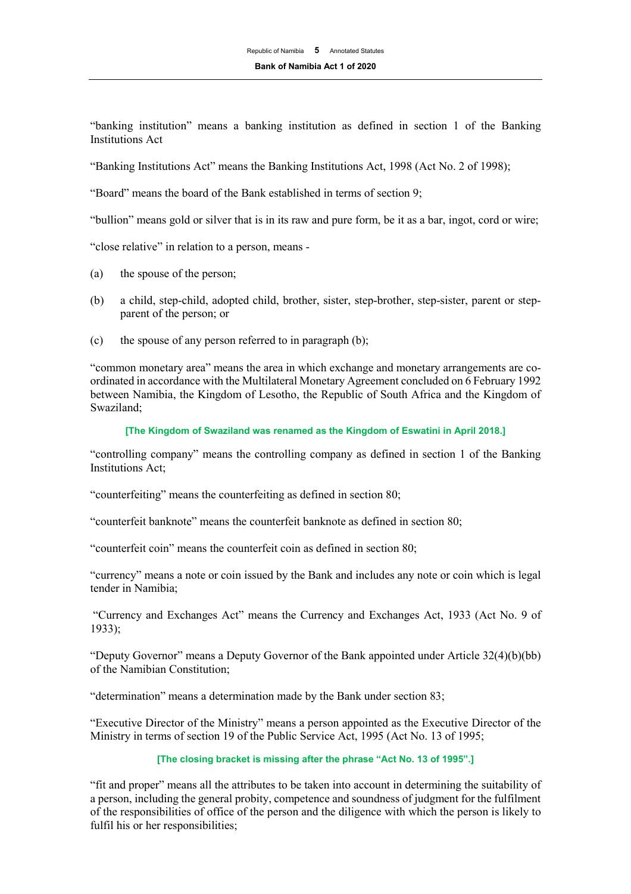"banking institution" means a banking institution as defined in section 1 of the Banking Institutions Act

"Banking Institutions Act" means the Banking Institutions Act, 1998 (Act No. 2 of 1998);

"Board" means the board of the Bank established in terms of section 9;

"bullion" means gold or silver that is in its raw and pure form, be it as a bar, ingot, cord or wire;

"close relative" in relation to a person, means -

- (a) the spouse of the person;
- (b) a child, step-child, adopted child, brother, sister, step-brother, step-sister, parent or stepparent of the person; or
- (c) the spouse of any person referred to in paragraph (b);

"common monetary area" means the area in which exchange and monetary arrangements are coordinated in accordance with the Multilateral Monetary Agreement concluded on 6 February 1992 between Namibia, the Kingdom of Lesotho, the Republic of South Africa and the Kingdom of Swaziland;

#### **[The Kingdom of Swaziland was renamed as the Kingdom of Eswatini in April 2018.]**

"controlling company" means the controlling company as defined in section 1 of the Banking Institutions Act;

"counterfeiting" means the counterfeiting as defined in section 80;

"counterfeit banknote" means the counterfeit banknote as defined in section 80;

"counterfeit coin" means the counterfeit coin as defined in section 80;

"currency" means a note or coin issued by the Bank and includes any note or coin which is legal tender in Namibia;

"Currency and Exchanges Act" means the Currency and Exchanges Act, 1933 (Act No. 9 of 1933);

"Deputy Governor" means a Deputy Governor of the Bank appointed under Article 32(4)(b)(bb) of the Namibian Constitution;

"determination" means a determination made by the Bank under section 83;

"Executive Director of the Ministry" means a person appointed as the Executive Director of the Ministry in terms of section 19 of the Public Service Act, 1995 (Act No. 13 of 1995;

#### **[The closing bracket is missing after the phrase "Act No. 13 of 1995".]**

"fit and proper" means all the attributes to be taken into account in determining the suitability of a person, including the general probity, competence and soundness of judgment for the fulfilment of the responsibilities of office of the person and the diligence with which the person is likely to fulfil his or her responsibilities;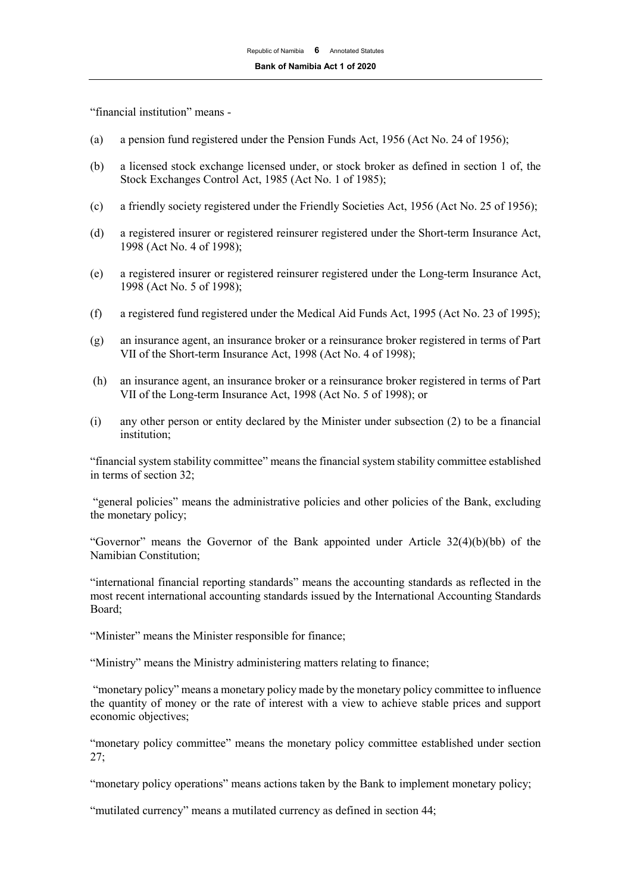"financial institution" means -

- (a) a pension fund registered under the Pension Funds Act, 1956 (Act No. 24 of 1956);
- (b) a licensed stock exchange licensed under, or stock broker as defined in section 1 of, the Stock Exchanges Control Act, 1985 (Act No. 1 of 1985);
- (c) a friendly society registered under the Friendly Societies Act, 1956 (Act No. 25 of 1956);
- (d) a registered insurer or registered reinsurer registered under the Short-term Insurance Act, 1998 (Act No. 4 of 1998);
- (e) a registered insurer or registered reinsurer registered under the Long-term Insurance Act, 1998 (Act No. 5 of 1998);
- (f) a registered fund registered under the Medical Aid Funds Act, 1995 (Act No. 23 of 1995);
- (g) an insurance agent, an insurance broker or a reinsurance broker registered in terms of Part VII of the Short-term Insurance Act, 1998 (Act No. 4 of 1998);
- (h) an insurance agent, an insurance broker or a reinsurance broker registered in terms of Part VII of the Long-term Insurance Act, 1998 (Act No. 5 of 1998); or
- (i) any other person or entity declared by the Minister under subsection (2) to be a financial institution;

"financial system stability committee" means the financial system stability committee established in terms of section 32;

"general policies" means the administrative policies and other policies of the Bank, excluding the monetary policy;

"Governor" means the Governor of the Bank appointed under Article  $32(4)(b)(bb)$  of the Namibian Constitution;

"international financial reporting standards" means the accounting standards as reflected in the most recent international accounting standards issued by the International Accounting Standards Board;

"Minister" means the Minister responsible for finance;

"Ministry" means the Ministry administering matters relating to finance;

"monetary policy" means a monetary policy made by the monetary policy committee to influence the quantity of money or the rate of interest with a view to achieve stable prices and support economic objectives;

"monetary policy committee" means the monetary policy committee established under section 27;

"monetary policy operations" means actions taken by the Bank to implement monetary policy;

"mutilated currency" means a mutilated currency as defined in section 44;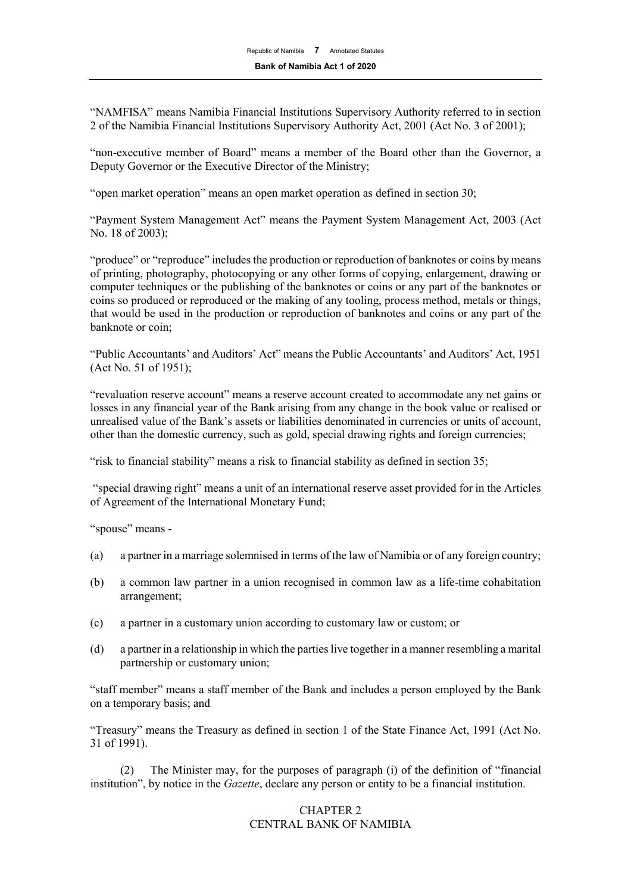"NAMFISA" means Namibia Financial Institutions Supervisory Authority referred to in section 2 of the Namibia Financial Institutions Supervisory Authority Act, 2001 (Act No. 3 of 2001);

"non-executive member of Board" means a member of the Board other than the Governor, a Deputy Governor or the Executive Director of the Ministry;

"open market operation" means an open market operation as defined in section 30;

"Payment System Management Act" means the Payment System Management Act, 2003 (Act No. 18 of 2003);

"produce" or "reproduce" includes the production or reproduction of banknotes or coins by means of printing, photography, photocopying or any other forms of copying, enlargement, drawing or computer techniques or the publishing of the banknotes or coins or any part of the banknotes or coins so produced or reproduced or the making of any tooling, process method, metals or things, that would be used in the production or reproduction of banknotes and coins or any part of the banknote or coin;

"Public Accountants' and Auditors' Act" means the Public Accountants' and Auditors' Act, 1951 (Act No. 51 of 1951);

"revaluation reserve account" means a reserve account created to accommodate any net gains or losses in any financial year of the Bank arising from any change in the book value or realised or unrealised value of the Bank's assets or liabilities denominated in currencies or units of account, other than the domestic currency, such as gold, special drawing rights and foreign currencies;

"risk to financial stability" means a risk to financial stability as defined in section 35;

"special drawing right" means a unit of an international reserve asset provided for in the Articles of Agreement of the International Monetary Fund;

"spouse" means -

- (a) a partner in a marriage solemnised in terms of the law of Namibia or of any foreign country;
- (b) a common law partner in a union recognised in common law as a life-time cohabitation arrangement;
- (c) a partner in a customary union according to customary law or custom; or
- (d) a partner in a relationship in which the parties live together in a manner resembling a marital partnership or customary union;

"staff member" means a staff member of the Bank and includes a person employed by the Bank on a temporary basis; and

"Treasury" means the Treasury as defined in section 1 of the State Finance Act, 1991 (Act No. 31 of 1991).

(2) The Minister may, for the purposes of paragraph (i) of the definition of "financial institution", by notice in the *Gazette*, declare any person or entity to be a financial institution.

## CHAPTER 2 CENTRAL BANK OF NAMIBIA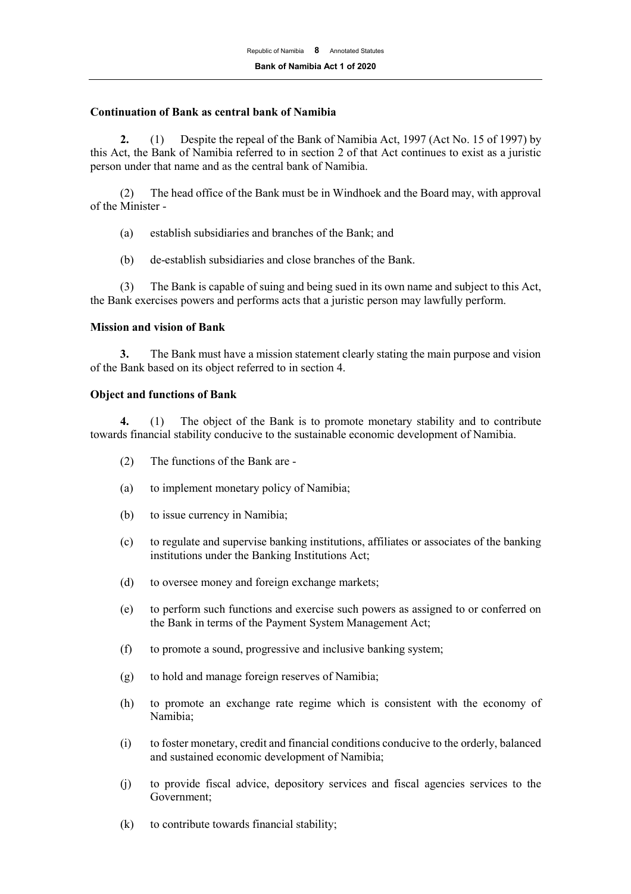#### **Continuation of Bank as central bank of Namibia**

**2.** (1) Despite the repeal of the Bank of Namibia Act, 1997 (Act No. 15 of 1997) by this Act, the Bank of Namibia referred to in section 2 of that Act continues to exist as a juristic person under that name and as the central bank of Namibia.

(2) The head office of the Bank must be in Windhoek and the Board may, with approval of the Minister -

- (a) establish subsidiaries and branches of the Bank; and
- (b) de-establish subsidiaries and close branches of the Bank.

(3) The Bank is capable of suing and being sued in its own name and subject to this Act, the Bank exercises powers and performs acts that a juristic person may lawfully perform.

## **Mission and vision of Bank**

**3.** The Bank must have a mission statement clearly stating the main purpose and vision of the Bank based on its object referred to in section 4.

#### **Object and functions of Bank**

**4.** (1) The object of the Bank is to promote monetary stability and to contribute towards financial stability conducive to the sustainable economic development of Namibia.

- (2) The functions of the Bank are -
- (a) to implement monetary policy of Namibia;
- (b) to issue currency in Namibia;
- (c) to regulate and supervise banking institutions, affiliates or associates of the banking institutions under the Banking Institutions Act;
- (d) to oversee money and foreign exchange markets;
- (e) to perform such functions and exercise such powers as assigned to or conferred on the Bank in terms of the Payment System Management Act;
- (f) to promote a sound, progressive and inclusive banking system;
- (g) to hold and manage foreign reserves of Namibia;
- (h) to promote an exchange rate regime which is consistent with the economy of Namibia;
- (i) to foster monetary, credit and financial conditions conducive to the orderly, balanced and sustained economic development of Namibia;
- (j) to provide fiscal advice, depository services and fiscal agencies services to the Government;
- (k) to contribute towards financial stability;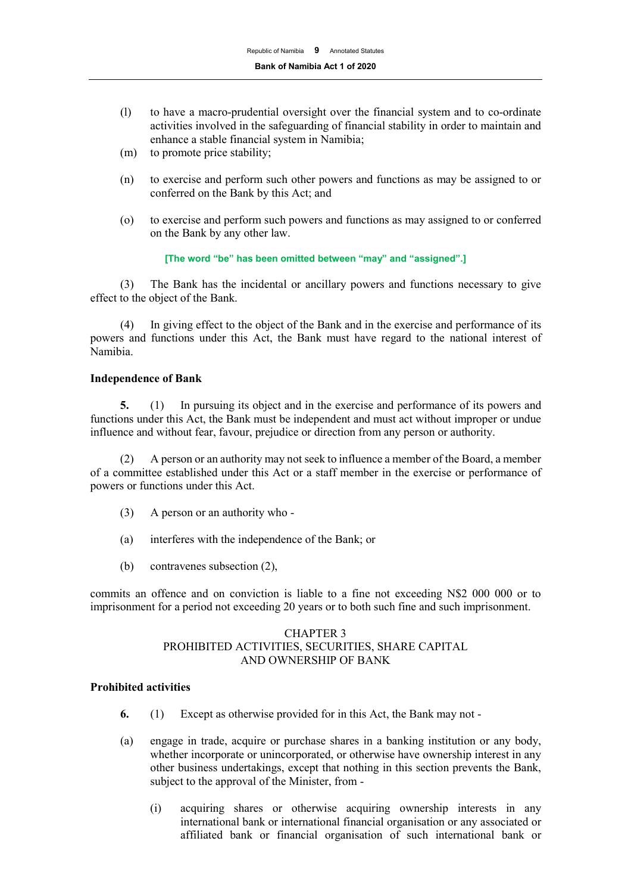- (l) to have a macro-prudential oversight over the financial system and to co-ordinate activities involved in the safeguarding of financial stability in order to maintain and enhance a stable financial system in Namibia;
- (m) to promote price stability;
- (n) to exercise and perform such other powers and functions as may be assigned to or conferred on the Bank by this Act; and
- (o) to exercise and perform such powers and functions as may assigned to or conferred on the Bank by any other law.

#### **[The word "be" has been omitted between "may" and "assigned".]**

(3) The Bank has the incidental or ancillary powers and functions necessary to give effect to the object of the Bank.

(4) In giving effect to the object of the Bank and in the exercise and performance of its powers and functions under this Act, the Bank must have regard to the national interest of Namibia.

## **Independence of Bank**

**5.** (1) In pursuing its object and in the exercise and performance of its powers and functions under this Act, the Bank must be independent and must act without improper or undue influence and without fear, favour, prejudice or direction from any person or authority.

(2) A person or an authority may not seek to influence a member of the Board, a member of a committee established under this Act or a staff member in the exercise or performance of powers or functions under this Act.

- (3) A person or an authority who -
- (a) interferes with the independence of the Bank; or
- (b) contravenes subsection (2),

commits an offence and on conviction is liable to a fine not exceeding N\$2 000 000 or to imprisonment for a period not exceeding 20 years or to both such fine and such imprisonment.

## CHAPTER 3 PROHIBITED ACTIVITIES, SECURITIES, SHARE CAPITAL AND OWNERSHIP OF BANK

## **Prohibited activities**

- **6.** (1) Except as otherwise provided for in this Act, the Bank may not -
- (a) engage in trade, acquire or purchase shares in a banking institution or any body, whether incorporate or unincorporated, or otherwise have ownership interest in any other business undertakings, except that nothing in this section prevents the Bank, subject to the approval of the Minister, from -
	- (i) acquiring shares or otherwise acquiring ownership interests in any international bank or international financial organisation or any associated or affiliated bank or financial organisation of such international bank or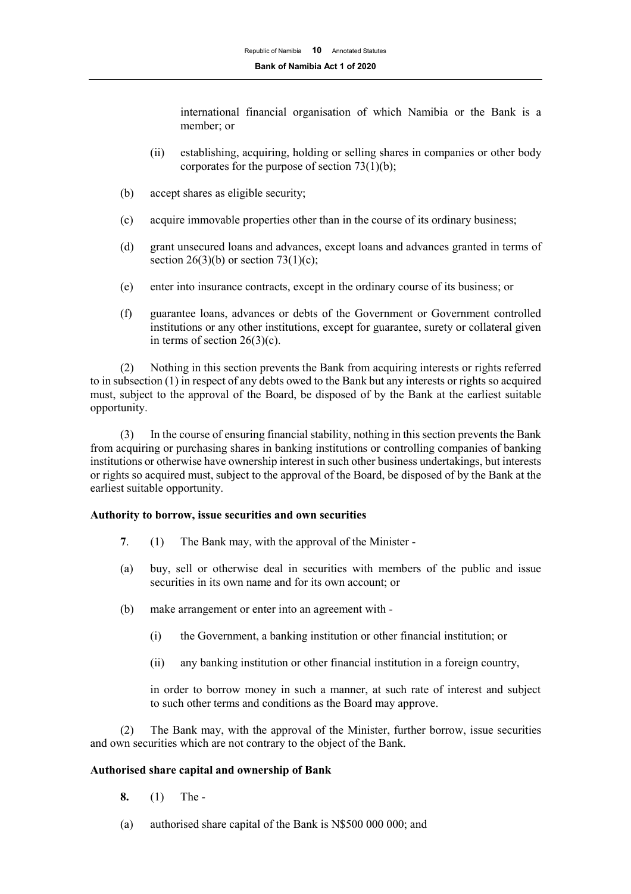international financial organisation of which Namibia or the Bank is a member; or

- (ii) establishing, acquiring, holding or selling shares in companies or other body corporates for the purpose of section 73(1)(b);
- (b) accept shares as eligible security;
- (c) acquire immovable properties other than in the course of its ordinary business;
- (d) grant unsecured loans and advances, except loans and advances granted in terms of section 26(3)(b) or section 73(1)(c);
- (e) enter into insurance contracts, except in the ordinary course of its business; or
- (f) guarantee loans, advances or debts of the Government or Government controlled institutions or any other institutions, except for guarantee, surety or collateral given in terms of section  $26(3)(c)$ .

(2) Nothing in this section prevents the Bank from acquiring interests or rights referred to in subsection (1) in respect of any debts owed to the Bank but any interests or rights so acquired must, subject to the approval of the Board, be disposed of by the Bank at the earliest suitable opportunity.

(3) In the course of ensuring financial stability, nothing in this section prevents the Bank from acquiring or purchasing shares in banking institutions or controlling companies of banking institutions or otherwise have ownership interest in such other business undertakings, but interests or rights so acquired must, subject to the approval of the Board, be disposed of by the Bank at the earliest suitable opportunity.

## **Authority to borrow, issue securities and own securities**

- **7**. (1) The Bank may, with the approval of the Minister -
- (a) buy, sell or otherwise deal in securities with members of the public and issue securities in its own name and for its own account; or
- (b) make arrangement or enter into an agreement with
	- (i) the Government, a banking institution or other financial institution; or
	- (ii) any banking institution or other financial institution in a foreign country,

in order to borrow money in such a manner, at such rate of interest and subject to such other terms and conditions as the Board may approve.

(2) The Bank may, with the approval of the Minister, further borrow, issue securities and own securities which are not contrary to the object of the Bank.

#### **Authorised share capital and ownership of Bank**

- **8.** (1) The -
- (a) authorised share capital of the Bank is N\$500 000 000; and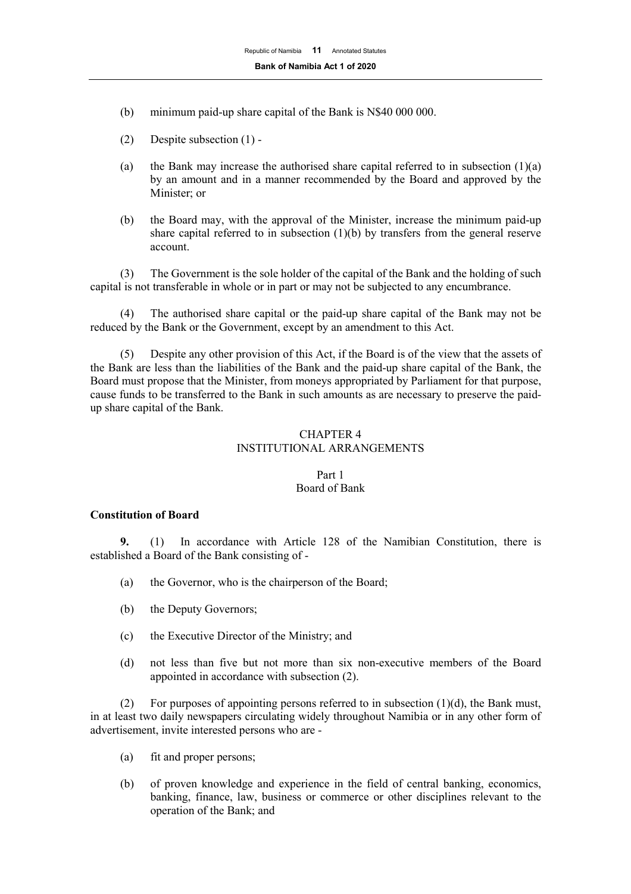- (b) minimum paid-up share capital of the Bank is N\$40 000 000.
- (2) Despite subsection (1) -
- (a) the Bank may increase the authorised share capital referred to in subsection  $(1)(a)$ by an amount and in a manner recommended by the Board and approved by the Minister; or
- (b) the Board may, with the approval of the Minister, increase the minimum paid-up share capital referred to in subsection  $(1)(b)$  by transfers from the general reserve account.

(3) The Government is the sole holder of the capital of the Bank and the holding of such capital is not transferable in whole or in part or may not be subjected to any encumbrance.

(4) The authorised share capital or the paid-up share capital of the Bank may not be reduced by the Bank or the Government, except by an amendment to this Act.

Despite any other provision of this Act, if the Board is of the view that the assets of the Bank are less than the liabilities of the Bank and the paid-up share capital of the Bank, the Board must propose that the Minister, from moneys appropriated by Parliament for that purpose, cause funds to be transferred to the Bank in such amounts as are necessary to preserve the paidup share capital of the Bank.

## CHAPTER 4 INSTITUTIONAL ARRANGEMENTS

## Part 1 Board of Bank

## **Constitution of Board**

**9.** (1) In accordance with Article 128 of the Namibian Constitution, there is established a Board of the Bank consisting of -

- (a) the Governor, who is the chairperson of the Board;
- (b) the Deputy Governors;
- (c) the Executive Director of the Ministry; and
- (d) not less than five but not more than six non-executive members of the Board appointed in accordance with subsection (2).

(2) For purposes of appointing persons referred to in subsection  $(1)(d)$ , the Bank must, in at least two daily newspapers circulating widely throughout Namibia or in any other form of advertisement, invite interested persons who are -

- (a) fit and proper persons;
- (b) of proven knowledge and experience in the field of central banking, economics, banking, finance, law, business or commerce or other disciplines relevant to the operation of the Bank; and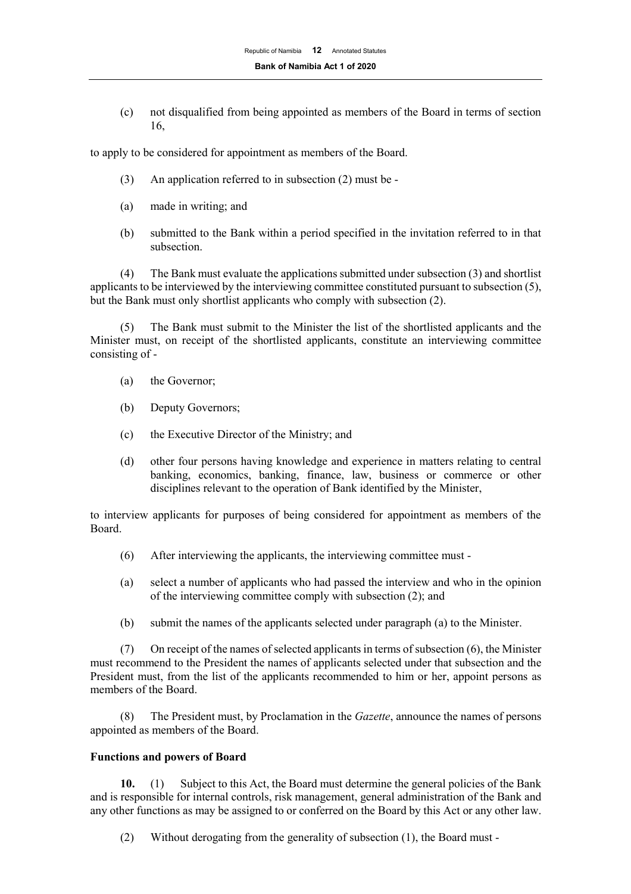(c) not disqualified from being appointed as members of the Board in terms of section 16,

to apply to be considered for appointment as members of the Board.

- (3) An application referred to in subsection (2) must be -
- (a) made in writing; and
- (b) submitted to the Bank within a period specified in the invitation referred to in that subsection.

(4) The Bank must evaluate the applications submitted under subsection (3) and shortlist applicants to be interviewed by the interviewing committee constituted pursuant to subsection (5), but the Bank must only shortlist applicants who comply with subsection (2).

(5) The Bank must submit to the Minister the list of the shortlisted applicants and the Minister must, on receipt of the shortlisted applicants, constitute an interviewing committee consisting of -

- (a) the Governor;
- (b) Deputy Governors;
- (c) the Executive Director of the Ministry; and
- (d) other four persons having knowledge and experience in matters relating to central banking, economics, banking, finance, law, business or commerce or other disciplines relevant to the operation of Bank identified by the Minister,

to interview applicants for purposes of being considered for appointment as members of the Board.

- (6) After interviewing the applicants, the interviewing committee must -
- (a) select a number of applicants who had passed the interview and who in the opinion of the interviewing committee comply with subsection (2); and
- (b) submit the names of the applicants selected under paragraph (a) to the Minister.

(7) On receipt of the names of selected applicants in terms of subsection (6), the Minister must recommend to the President the names of applicants selected under that subsection and the President must, from the list of the applicants recommended to him or her, appoint persons as members of the Board.

(8) The President must, by Proclamation in the *Gazette*, announce the names of persons appointed as members of the Board.

## **Functions and powers of Board**

**10.** (1) Subject to this Act, the Board must determine the general policies of the Bank and is responsible for internal controls, risk management, general administration of the Bank and any other functions as may be assigned to or conferred on the Board by this Act or any other law.

(2) Without derogating from the generality of subsection (1), the Board must -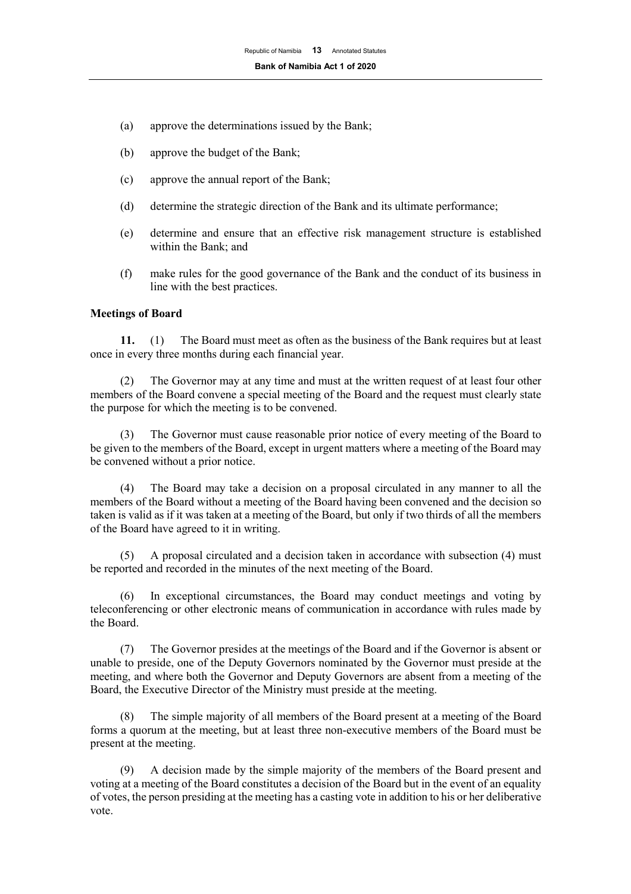- (a) approve the determinations issued by the Bank;
- (b) approve the budget of the Bank;
- (c) approve the annual report of the Bank;
- (d) determine the strategic direction of the Bank and its ultimate performance;
- (e) determine and ensure that an effective risk management structure is established within the Bank; and
- (f) make rules for the good governance of the Bank and the conduct of its business in line with the best practices.

#### **Meetings of Board**

**11.** (1) The Board must meet as often as the business of the Bank requires but at least once in every three months during each financial year.

(2) The Governor may at any time and must at the written request of at least four other members of the Board convene a special meeting of the Board and the request must clearly state the purpose for which the meeting is to be convened.

(3) The Governor must cause reasonable prior notice of every meeting of the Board to be given to the members of the Board, except in urgent matters where a meeting of the Board may be convened without a prior notice.

(4) The Board may take a decision on a proposal circulated in any manner to all the members of the Board without a meeting of the Board having been convened and the decision so taken is valid as if it was taken at a meeting of the Board, but only if two thirds of all the members of the Board have agreed to it in writing.

(5) A proposal circulated and a decision taken in accordance with subsection (4) must be reported and recorded in the minutes of the next meeting of the Board.

(6) In exceptional circumstances, the Board may conduct meetings and voting by teleconferencing or other electronic means of communication in accordance with rules made by the Board.

(7) The Governor presides at the meetings of the Board and if the Governor is absent or unable to preside, one of the Deputy Governors nominated by the Governor must preside at the meeting, and where both the Governor and Deputy Governors are absent from a meeting of the Board, the Executive Director of the Ministry must preside at the meeting.

(8) The simple majority of all members of the Board present at a meeting of the Board forms a quorum at the meeting, but at least three non-executive members of the Board must be present at the meeting.

(9) A decision made by the simple majority of the members of the Board present and voting at a meeting of the Board constitutes a decision of the Board but in the event of an equality of votes, the person presiding at the meeting has a casting vote in addition to his or her deliberative vote.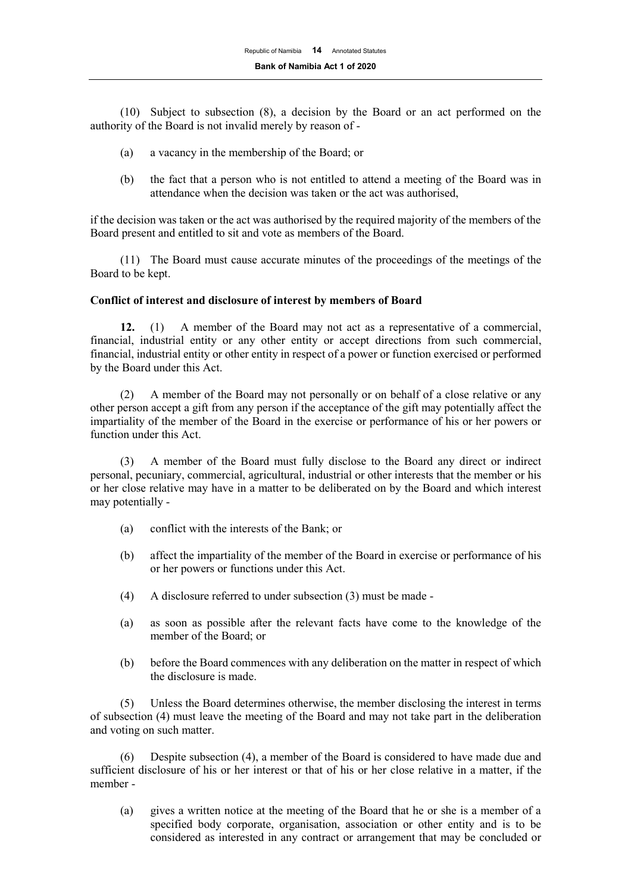(10) Subject to subsection (8), a decision by the Board or an act performed on the authority of the Board is not invalid merely by reason of -

- (a) a vacancy in the membership of the Board; or
- (b) the fact that a person who is not entitled to attend a meeting of the Board was in attendance when the decision was taken or the act was authorised,

if the decision was taken or the act was authorised by the required majority of the members of the Board present and entitled to sit and vote as members of the Board.

(11) The Board must cause accurate minutes of the proceedings of the meetings of the Board to be kept.

#### **Conflict of interest and disclosure of interest by members of Board**

**12.** (1) A member of the Board may not act as a representative of a commercial, financial, industrial entity or any other entity or accept directions from such commercial, financial, industrial entity or other entity in respect of a power or function exercised or performed by the Board under this Act.

(2) A member of the Board may not personally or on behalf of a close relative or any other person accept a gift from any person if the acceptance of the gift may potentially affect the impartiality of the member of the Board in the exercise or performance of his or her powers or function under this Act.

(3) A member of the Board must fully disclose to the Board any direct or indirect personal, pecuniary, commercial, agricultural, industrial or other interests that the member or his or her close relative may have in a matter to be deliberated on by the Board and which interest may potentially -

- (a) conflict with the interests of the Bank; or
- (b) affect the impartiality of the member of the Board in exercise or performance of his or her powers or functions under this Act.
- (4) A disclosure referred to under subsection (3) must be made -
- (a) as soon as possible after the relevant facts have come to the knowledge of the member of the Board; or
- (b) before the Board commences with any deliberation on the matter in respect of which the disclosure is made.

(5) Unless the Board determines otherwise, the member disclosing the interest in terms of subsection (4) must leave the meeting of the Board and may not take part in the deliberation and voting on such matter.

(6) Despite subsection (4), a member of the Board is considered to have made due and sufficient disclosure of his or her interest or that of his or her close relative in a matter, if the member -

(a) gives a written notice at the meeting of the Board that he or she is a member of a specified body corporate, organisation, association or other entity and is to be considered as interested in any contract or arrangement that may be concluded or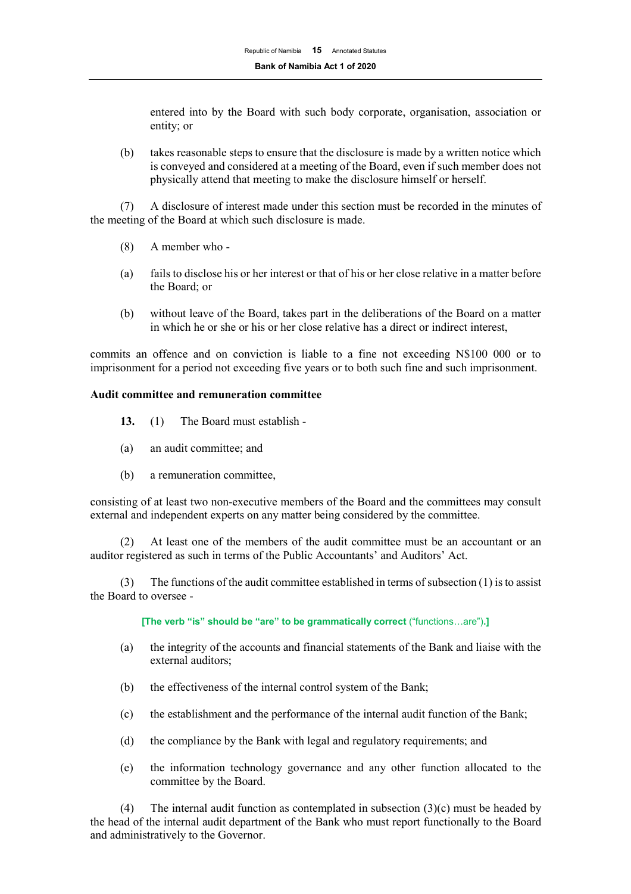entered into by the Board with such body corporate, organisation, association or entity; or

(b) takes reasonable steps to ensure that the disclosure is made by a written notice which is conveyed and considered at a meeting of the Board, even if such member does not physically attend that meeting to make the disclosure himself or herself.

(7) A disclosure of interest made under this section must be recorded in the minutes of the meeting of the Board at which such disclosure is made.

- (8) A member who -
- (a) fails to disclose his or her interest or that of his or her close relative in a matter before the Board; or
- (b) without leave of the Board, takes part in the deliberations of the Board on a matter in which he or she or his or her close relative has a direct or indirect interest,

commits an offence and on conviction is liable to a fine not exceeding N\$100 000 or to imprisonment for a period not exceeding five years or to both such fine and such imprisonment.

## **Audit committee and remuneration committee**

- **13.** (1) The Board must establish -
- (a) an audit committee; and
- (b) a remuneration committee,

consisting of at least two non-executive members of the Board and the committees may consult external and independent experts on any matter being considered by the committee.

At least one of the members of the audit committee must be an accountant or an auditor registered as such in terms of the Public Accountants' and Auditors' Act.

(3) The functions of the audit committee established in terms of subsection  $(1)$  is to assist the Board to oversee -

**[The verb "is" should be "are" to be grammatically correct** ("functions…are")**.]**

- (a) the integrity of the accounts and financial statements of the Bank and liaise with the external auditors;
- (b) the effectiveness of the internal control system of the Bank;
- (c) the establishment and the performance of the internal audit function of the Bank;
- (d) the compliance by the Bank with legal and regulatory requirements; and
- (e) the information technology governance and any other function allocated to the committee by the Board.

(4) The internal audit function as contemplated in subsection  $(3)(c)$  must be headed by the head of the internal audit department of the Bank who must report functionally to the Board and administratively to the Governor.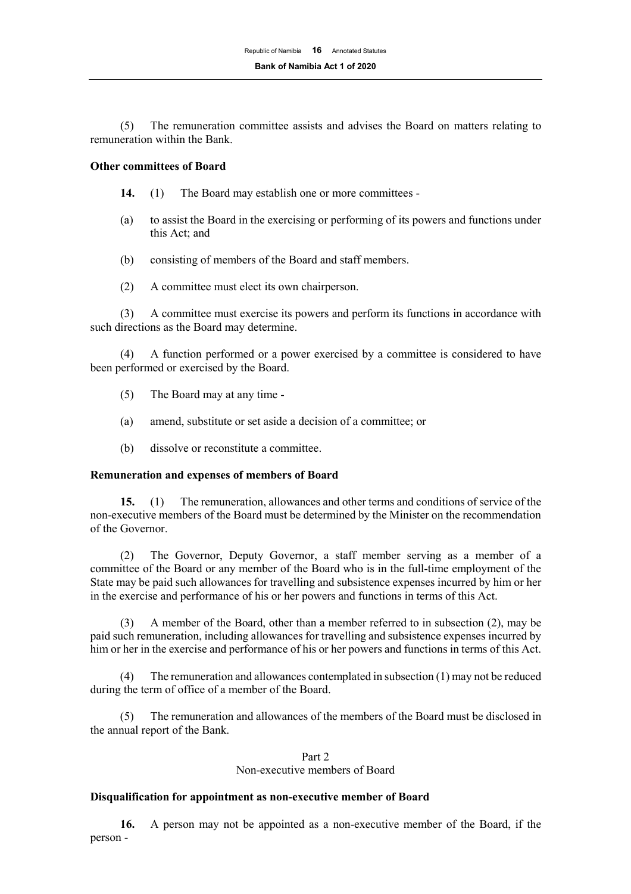(5) The remuneration committee assists and advises the Board on matters relating to remuneration within the Bank.

#### **Other committees of Board**

- **14.** (1) The Board may establish one or more committees -
- (a) to assist the Board in the exercising or performing of its powers and functions under this Act; and
- (b) consisting of members of the Board and staff members.
- (2) A committee must elect its own chairperson.

(3) A committee must exercise its powers and perform its functions in accordance with such directions as the Board may determine.

(4) A function performed or a power exercised by a committee is considered to have been performed or exercised by the Board.

- (5) The Board may at any time -
- (a) amend, substitute or set aside a decision of a committee; or
- (b) dissolve or reconstitute a committee.

#### **Remuneration and expenses of members of Board**

**15.** (1) The remuneration, allowances and other terms and conditions of service of the non-executive members of the Board must be determined by the Minister on the recommendation of the Governor.

(2) The Governor, Deputy Governor, a staff member serving as a member of a committee of the Board or any member of the Board who is in the full-time employment of the State may be paid such allowances for travelling and subsistence expenses incurred by him or her in the exercise and performance of his or her powers and functions in terms of this Act.

(3) A member of the Board, other than a member referred to in subsection (2), may be paid such remuneration, including allowances for travelling and subsistence expenses incurred by him or her in the exercise and performance of his or her powers and functions in terms of this Act.

(4) The remuneration and allowances contemplated in subsection (1) may not be reduced during the term of office of a member of the Board.

(5) The remuneration and allowances of the members of the Board must be disclosed in the annual report of the Bank.

#### Part 2

# Non-executive members of Board

#### **Disqualification for appointment as non-executive member of Board**

**16.** A person may not be appointed as a non-executive member of the Board, if the person -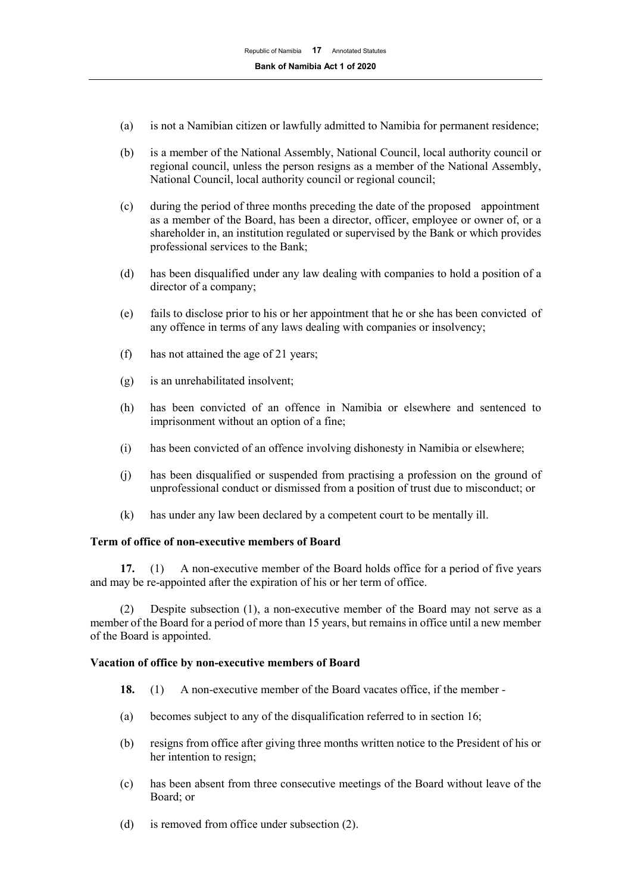- (a) is not a Namibian citizen or lawfully admitted to Namibia for permanent residence;
- (b) is a member of the National Assembly, National Council, local authority council or regional council, unless the person resigns as a member of the National Assembly, National Council, local authority council or regional council;
- (c) during the period of three months preceding the date of the proposed appointment as a member of the Board, has been a director, officer, employee or owner of, or a shareholder in, an institution regulated or supervised by the Bank or which provides professional services to the Bank;
- (d) has been disqualified under any law dealing with companies to hold a position of a director of a company;
- (e) fails to disclose prior to his or her appointment that he or she has been convicted of any offence in terms of any laws dealing with companies or insolvency;
- (f) has not attained the age of 21 years;
- (g) is an unrehabilitated insolvent;
- (h) has been convicted of an offence in Namibia or elsewhere and sentenced to imprisonment without an option of a fine;
- (i) has been convicted of an offence involving dishonesty in Namibia or elsewhere;
- (j) has been disqualified or suspended from practising a profession on the ground of unprofessional conduct or dismissed from a position of trust due to misconduct; or
- (k) has under any law been declared by a competent court to be mentally ill.

## **Term of office of non-executive members of Board**

**17.** (1) A non-executive member of the Board holds office for a period of five years and may be re-appointed after the expiration of his or her term of office.

(2) Despite subsection (1), a non-executive member of the Board may not serve as a member of the Board for a period of more than 15 years, but remains in office until a new member of the Board is appointed.

## **Vacation of office by non-executive members of Board**

- **18.** (1) A non-executive member of the Board vacates office, if the member -
- (a) becomes subject to any of the disqualification referred to in section 16;
- (b) resigns from office after giving three months written notice to the President of his or her intention to resign;
- (c) has been absent from three consecutive meetings of the Board without leave of the Board; or
- (d) is removed from office under subsection (2).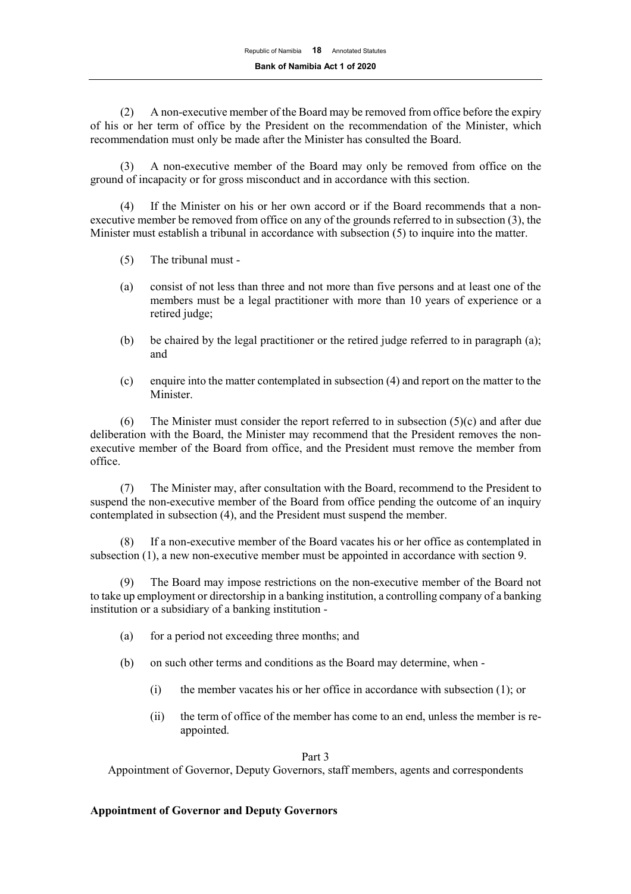(2) A non-executive member of the Board may be removed from office before the expiry of his or her term of office by the President on the recommendation of the Minister, which recommendation must only be made after the Minister has consulted the Board.

A non-executive member of the Board may only be removed from office on the ground of incapacity or for gross misconduct and in accordance with this section.

(4) If the Minister on his or her own accord or if the Board recommends that a nonexecutive member be removed from office on any of the grounds referred to in subsection (3), the Minister must establish a tribunal in accordance with subsection (5) to inquire into the matter.

- (5) The tribunal must -
- (a) consist of not less than three and not more than five persons and at least one of the members must be a legal practitioner with more than 10 years of experience or a retired judge;
- (b) be chaired by the legal practitioner or the retired judge referred to in paragraph (a); and
- (c) enquire into the matter contemplated in subsection (4) and report on the matter to the Minister.

(6) The Minister must consider the report referred to in subsection  $(5)(c)$  and after due deliberation with the Board, the Minister may recommend that the President removes the nonexecutive member of the Board from office, and the President must remove the member from office.

(7) The Minister may, after consultation with the Board, recommend to the President to suspend the non-executive member of the Board from office pending the outcome of an inquiry contemplated in subsection (4), and the President must suspend the member.

(8) If a non-executive member of the Board vacates his or her office as contemplated in subsection (1), a new non-executive member must be appointed in accordance with section 9.

(9) The Board may impose restrictions on the non-executive member of the Board not to take up employment or directorship in a banking institution, a controlling company of a banking institution or a subsidiary of a banking institution -

- (a) for a period not exceeding three months; and
- (b) on such other terms and conditions as the Board may determine, when
	- (i) the member vacates his or her office in accordance with subsection (1); or
	- (ii) the term of office of the member has come to an end, unless the member is reappointed.

Part 3

Appointment of Governor, Deputy Governors, staff members, agents and correspondents

# **Appointment of Governor and Deputy Governors**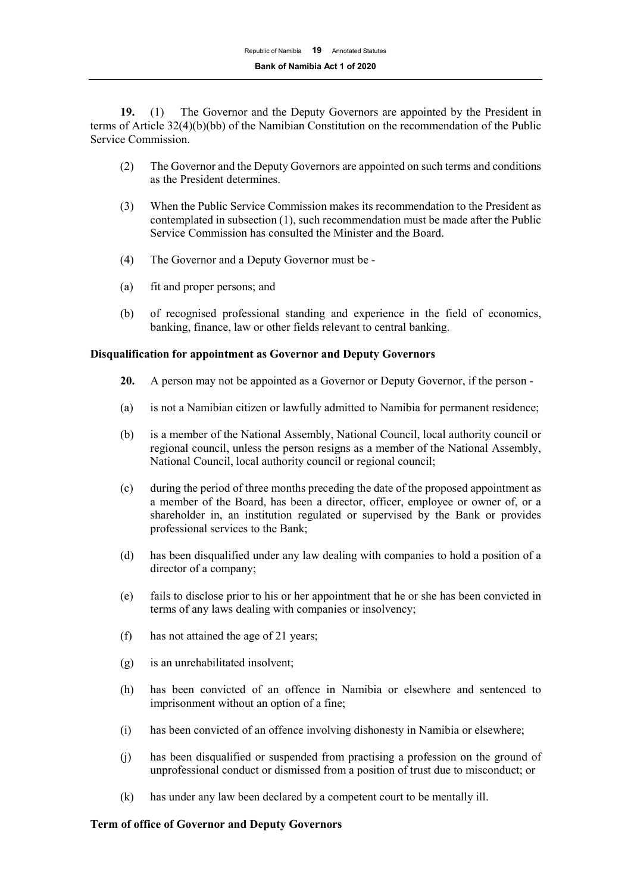**19.** (1) The Governor and the Deputy Governors are appointed by the President in terms of Article 32(4)(b)(bb) of the Namibian Constitution on the recommendation of the Public Service Commission.

- (2) The Governor and the Deputy Governors are appointed on such terms and conditions as the President determines.
- (3) When the Public Service Commission makes its recommendation to the President as contemplated in subsection (1), such recommendation must be made after the Public Service Commission has consulted the Minister and the Board.
- (4) The Governor and a Deputy Governor must be -
- (a) fit and proper persons; and
- (b) of recognised professional standing and experience in the field of economics, banking, finance, law or other fields relevant to central banking.

## **Disqualification for appointment as Governor and Deputy Governors**

- **20.** A person may not be appointed as a Governor or Deputy Governor, if the person -
- (a) is not a Namibian citizen or lawfully admitted to Namibia for permanent residence;
- (b) is a member of the National Assembly, National Council, local authority council or regional council, unless the person resigns as a member of the National Assembly, National Council, local authority council or regional council;
- (c) during the period of three months preceding the date of the proposed appointment as a member of the Board, has been a director, officer, employee or owner of, or a shareholder in, an institution regulated or supervised by the Bank or provides professional services to the Bank;
- (d) has been disqualified under any law dealing with companies to hold a position of a director of a company;
- (e) fails to disclose prior to his or her appointment that he or she has been convicted in terms of any laws dealing with companies or insolvency;
- (f) has not attained the age of 21 years;
- (g) is an unrehabilitated insolvent;
- (h) has been convicted of an offence in Namibia or elsewhere and sentenced to imprisonment without an option of a fine;
- (i) has been convicted of an offence involving dishonesty in Namibia or elsewhere;
- (j) has been disqualified or suspended from practising a profession on the ground of unprofessional conduct or dismissed from a position of trust due to misconduct; or
- (k) has under any law been declared by a competent court to be mentally ill.

#### **Term of office of Governor and Deputy Governors**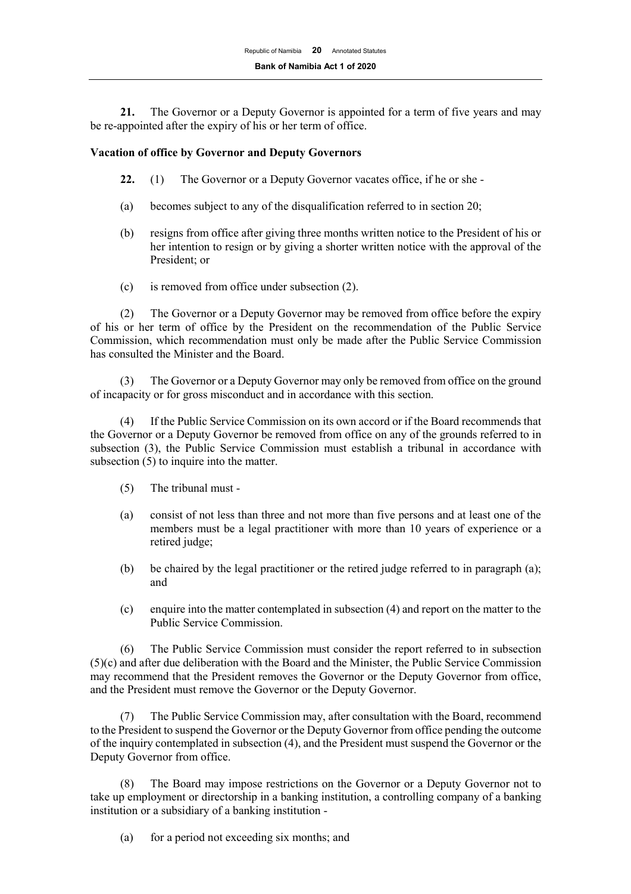**21.** The Governor or a Deputy Governor is appointed for a term of five years and may be re-appointed after the expiry of his or her term of office.

#### **Vacation of office by Governor and Deputy Governors**

- **22.** (1) The Governor or a Deputy Governor vacates office, if he or she -
- (a) becomes subject to any of the disqualification referred to in section 20;
- (b) resigns from office after giving three months written notice to the President of his or her intention to resign or by giving a shorter written notice with the approval of the President; or
- (c) is removed from office under subsection (2).

(2) The Governor or a Deputy Governor may be removed from office before the expiry of his or her term of office by the President on the recommendation of the Public Service Commission, which recommendation must only be made after the Public Service Commission has consulted the Minister and the Board.

(3) The Governor or a Deputy Governor may only be removed from office on the ground of incapacity or for gross misconduct and in accordance with this section.

(4) If the Public Service Commission on its own accord or if the Board recommends that the Governor or a Deputy Governor be removed from office on any of the grounds referred to in subsection (3), the Public Service Commission must establish a tribunal in accordance with subsection (5) to inquire into the matter.

- (5) The tribunal must -
- (a) consist of not less than three and not more than five persons and at least one of the members must be a legal practitioner with more than 10 years of experience or a retired judge;
- (b) be chaired by the legal practitioner or the retired judge referred to in paragraph (a); and
- (c) enquire into the matter contemplated in subsection (4) and report on the matter to the Public Service Commission.

(6) The Public Service Commission must consider the report referred to in subsection (5)(c) and after due deliberation with the Board and the Minister, the Public Service Commission may recommend that the President removes the Governor or the Deputy Governor from office, and the President must remove the Governor or the Deputy Governor.

(7) The Public Service Commission may, after consultation with the Board, recommend to the President to suspend the Governor or the Deputy Governor from office pending the outcome of the inquiry contemplated in subsection (4), and the President must suspend the Governor or the Deputy Governor from office.

The Board may impose restrictions on the Governor or a Deputy Governor not to take up employment or directorship in a banking institution, a controlling company of a banking institution or a subsidiary of a banking institution -

(a) for a period not exceeding six months; and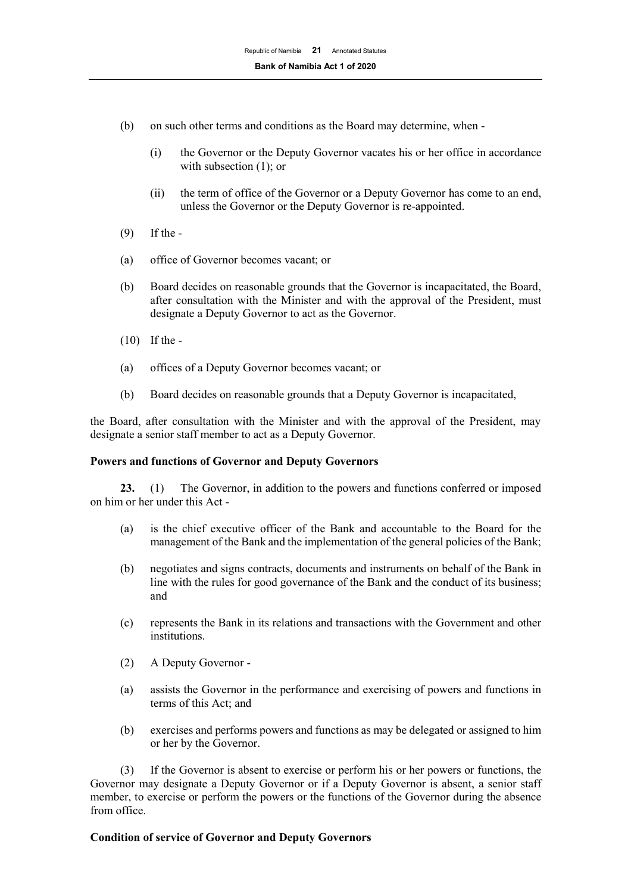- (b) on such other terms and conditions as the Board may determine, when
	- (i) the Governor or the Deputy Governor vacates his or her office in accordance with subsection (1); or
	- (ii) the term of office of the Governor or a Deputy Governor has come to an end, unless the Governor or the Deputy Governor is re-appointed.
- (9) If the -
- (a) office of Governor becomes vacant; or
- (b) Board decides on reasonable grounds that the Governor is incapacitated, the Board, after consultation with the Minister and with the approval of the President, must designate a Deputy Governor to act as the Governor.
- (10) If the -
- (a) offices of a Deputy Governor becomes vacant; or
- (b) Board decides on reasonable grounds that a Deputy Governor is incapacitated,

the Board, after consultation with the Minister and with the approval of the President, may designate a senior staff member to act as a Deputy Governor.

## **Powers and functions of Governor and Deputy Governors**

**23.** (1) The Governor, in addition to the powers and functions conferred or imposed on him or her under this Act -

- (a) is the chief executive officer of the Bank and accountable to the Board for the management of the Bank and the implementation of the general policies of the Bank;
- (b) negotiates and signs contracts, documents and instruments on behalf of the Bank in line with the rules for good governance of the Bank and the conduct of its business; and
- (c) represents the Bank in its relations and transactions with the Government and other institutions.
- (2) A Deputy Governor -
- (a) assists the Governor in the performance and exercising of powers and functions in terms of this Act; and
- (b) exercises and performs powers and functions as may be delegated or assigned to him or her by the Governor.

(3) If the Governor is absent to exercise or perform his or her powers or functions, the Governor may designate a Deputy Governor or if a Deputy Governor is absent, a senior staff member, to exercise or perform the powers or the functions of the Governor during the absence from office.

## **Condition of service of Governor and Deputy Governors**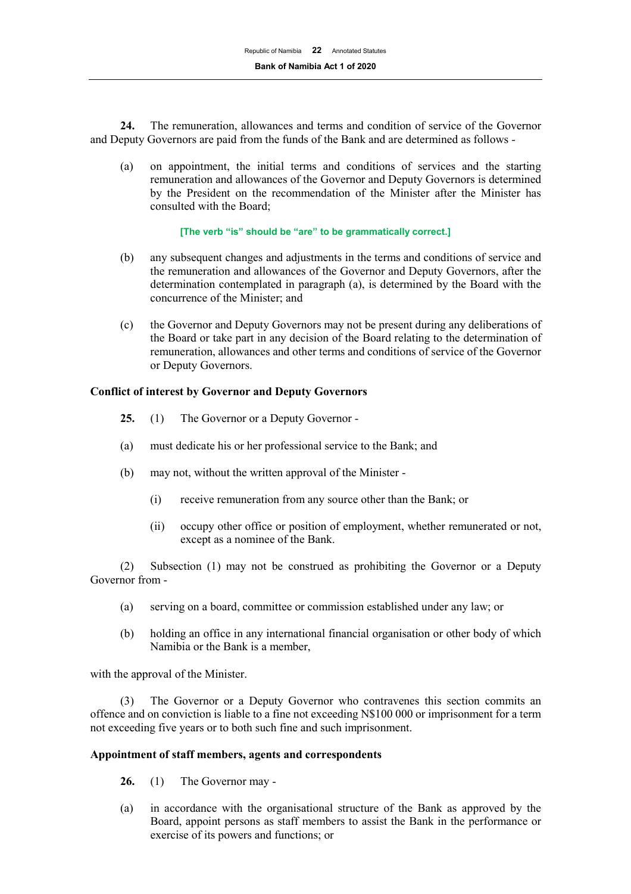**24.** The remuneration, allowances and terms and condition of service of the Governor and Deputy Governors are paid from the funds of the Bank and are determined as follows -

(a) on appointment, the initial terms and conditions of services and the starting remuneration and allowances of the Governor and Deputy Governors is determined by the President on the recommendation of the Minister after the Minister has consulted with the Board;

#### **[The verb "is" should be "are" to be grammatically correct.]**

- (b) any subsequent changes and adjustments in the terms and conditions of service and the remuneration and allowances of the Governor and Deputy Governors, after the determination contemplated in paragraph (a), is determined by the Board with the concurrence of the Minister; and
- (c) the Governor and Deputy Governors may not be present during any deliberations of the Board or take part in any decision of the Board relating to the determination of remuneration, allowances and other terms and conditions of service of the Governor or Deputy Governors.

## **Conflict of interest by Governor and Deputy Governors**

- **25.** (1) The Governor or a Deputy Governor -
- (a) must dedicate his or her professional service to the Bank; and
- (b) may not, without the written approval of the Minister
	- (i) receive remuneration from any source other than the Bank; or
	- (ii) occupy other office or position of employment, whether remunerated or not, except as a nominee of the Bank.

(2) Subsection (1) may not be construed as prohibiting the Governor or a Deputy Governor from -

- (a) serving on a board, committee or commission established under any law; or
- (b) holding an office in any international financial organisation or other body of which Namibia or the Bank is a member,

with the approval of the Minister.

(3) The Governor or a Deputy Governor who contravenes this section commits an offence and on conviction is liable to a fine not exceeding N\$100 000 or imprisonment for a term not exceeding five years or to both such fine and such imprisonment.

## **Appointment of staff members, agents and correspondents**

- **26.** (1) The Governor may -
- (a) in accordance with the organisational structure of the Bank as approved by the Board, appoint persons as staff members to assist the Bank in the performance or exercise of its powers and functions; or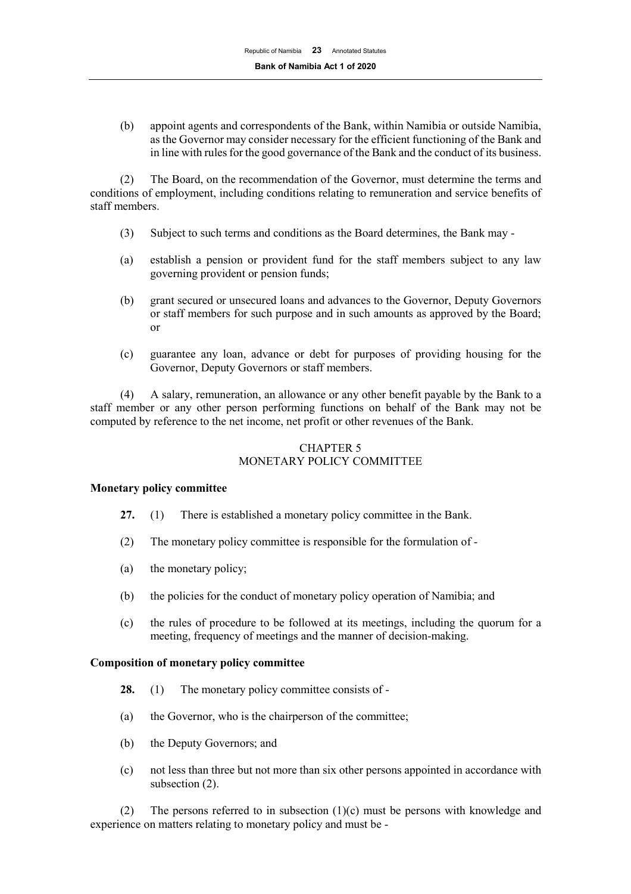(b) appoint agents and correspondents of the Bank, within Namibia or outside Namibia, as the Governor may consider necessary for the efficient functioning of the Bank and in line with rules for the good governance of the Bank and the conduct of its business.

(2) The Board, on the recommendation of the Governor, must determine the terms and conditions of employment, including conditions relating to remuneration and service benefits of staff members.

- (3) Subject to such terms and conditions as the Board determines, the Bank may -
- (a) establish a pension or provident fund for the staff members subject to any law governing provident or pension funds;
- (b) grant secured or unsecured loans and advances to the Governor, Deputy Governors or staff members for such purpose and in such amounts as approved by the Board; or
- (c) guarantee any loan, advance or debt for purposes of providing housing for the Governor, Deputy Governors or staff members.

(4) A salary, remuneration, an allowance or any other benefit payable by the Bank to a staff member or any other person performing functions on behalf of the Bank may not be computed by reference to the net income, net profit or other revenues of the Bank.

# CHAPTER 5 MONETARY POLICY COMMITTEE

## **Monetary policy committee**

- **27.** (1) There is established a monetary policy committee in the Bank.
- (2) The monetary policy committee is responsible for the formulation of -
- (a) the monetary policy;
- (b) the policies for the conduct of monetary policy operation of Namibia; and
- (c) the rules of procedure to be followed at its meetings, including the quorum for a meeting, frequency of meetings and the manner of decision-making.

#### **Composition of monetary policy committee**

- **28.** (1) The monetary policy committee consists of -
- (a) the Governor, who is the chairperson of the committee;
- (b) the Deputy Governors; and
- (c) not less than three but not more than six other persons appointed in accordance with subsection (2).

(2) The persons referred to in subsection  $(1)(c)$  must be persons with knowledge and experience on matters relating to monetary policy and must be -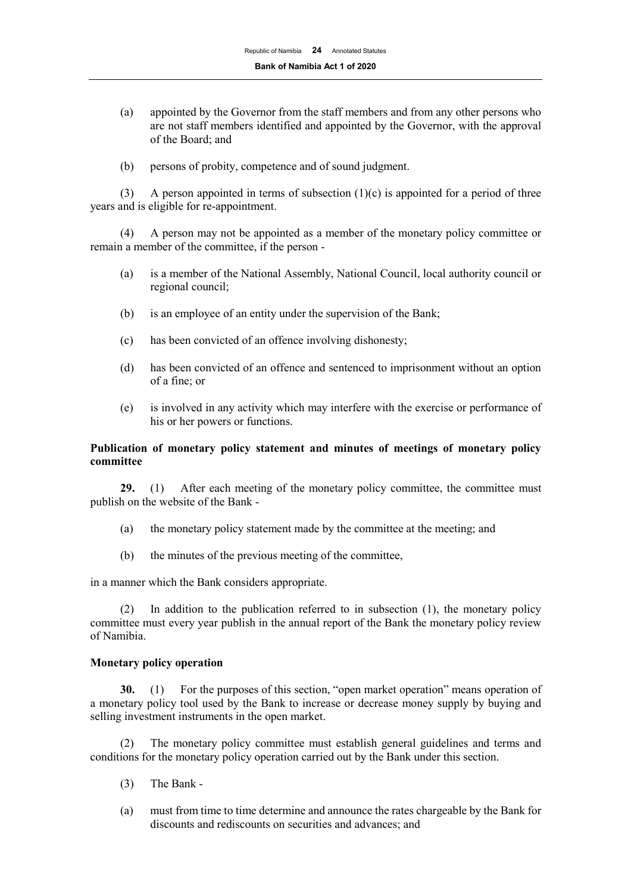- (a) appointed by the Governor from the staff members and from any other persons who are not staff members identified and appointed by the Governor, with the approval of the Board; and
- (b) persons of probity, competence and of sound judgment.

(3) A person appointed in terms of subsection  $(1)(c)$  is appointed for a period of three years and is eligible for re-appointment.

(4) A person may not be appointed as a member of the monetary policy committee or remain a member of the committee, if the person -

- (a) is a member of the National Assembly, National Council, local authority council or regional council;
- (b) is an employee of an entity under the supervision of the Bank;
- (c) has been convicted of an offence involving dishonesty;
- (d) has been convicted of an offence and sentenced to imprisonment without an option of a fine; or
- (e) is involved in any activity which may interfere with the exercise or performance of his or her powers or functions.

## **Publication of monetary policy statement and minutes of meetings of monetary policy committee**

**29.** (1) After each meeting of the monetary policy committee, the committee must publish on the website of the Bank -

- (a) the monetary policy statement made by the committee at the meeting; and
- (b) the minutes of the previous meeting of the committee,

in a manner which the Bank considers appropriate.

(2) In addition to the publication referred to in subsection (1), the monetary policy committee must every year publish in the annual report of the Bank the monetary policy review of Namibia.

## **Monetary policy operation**

**30.** (1) For the purposes of this section, "open market operation" means operation of a monetary policy tool used by the Bank to increase or decrease money supply by buying and selling investment instruments in the open market.

(2) The monetary policy committee must establish general guidelines and terms and conditions for the monetary policy operation carried out by the Bank under this section.

- (3) The Bank -
- (a) must from time to time determine and announce the rates chargeable by the Bank for discounts and rediscounts on securities and advances; and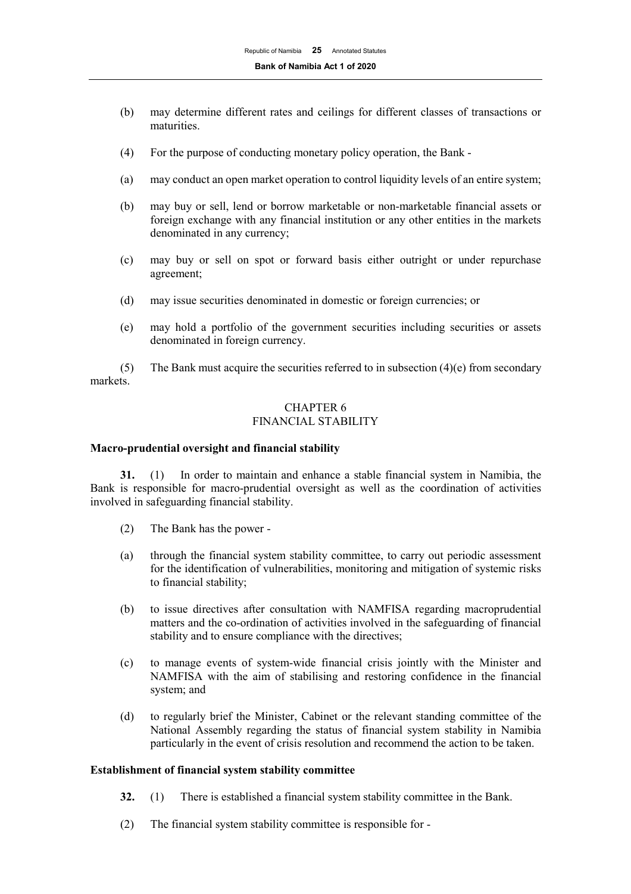- (b) may determine different rates and ceilings for different classes of transactions or maturities.
- (4) For the purpose of conducting monetary policy operation, the Bank -
- (a) may conduct an open market operation to control liquidity levels of an entire system;
- (b) may buy or sell, lend or borrow marketable or non-marketable financial assets or foreign exchange with any financial institution or any other entities in the markets denominated in any currency;
- (c) may buy or sell on spot or forward basis either outright or under repurchase agreement;
- (d) may issue securities denominated in domestic or foreign currencies; or
- (e) may hold a portfolio of the government securities including securities or assets denominated in foreign currency.

(5) The Bank must acquire the securities referred to in subsection  $(4)(e)$  from secondary markets.

#### CHAPTER 6 FINANCIAL STABILITY

#### **Macro-prudential oversight and financial stability**

**31.** (1) In order to maintain and enhance a stable financial system in Namibia, the Bank is responsible for macro-prudential oversight as well as the coordination of activities involved in safeguarding financial stability.

- (2) The Bank has the power -
- (a) through the financial system stability committee, to carry out periodic assessment for the identification of vulnerabilities, monitoring and mitigation of systemic risks to financial stability;
- (b) to issue directives after consultation with NAMFISA regarding macroprudential matters and the co-ordination of activities involved in the safeguarding of financial stability and to ensure compliance with the directives;
- (c) to manage events of system-wide financial crisis jointly with the Minister and NAMFISA with the aim of stabilising and restoring confidence in the financial system; and
- (d) to regularly brief the Minister, Cabinet or the relevant standing committee of the National Assembly regarding the status of financial system stability in Namibia particularly in the event of crisis resolution and recommend the action to be taken.

#### **Establishment of financial system stability committee**

- **32.** (1) There is established a financial system stability committee in the Bank.
- (2) The financial system stability committee is responsible for -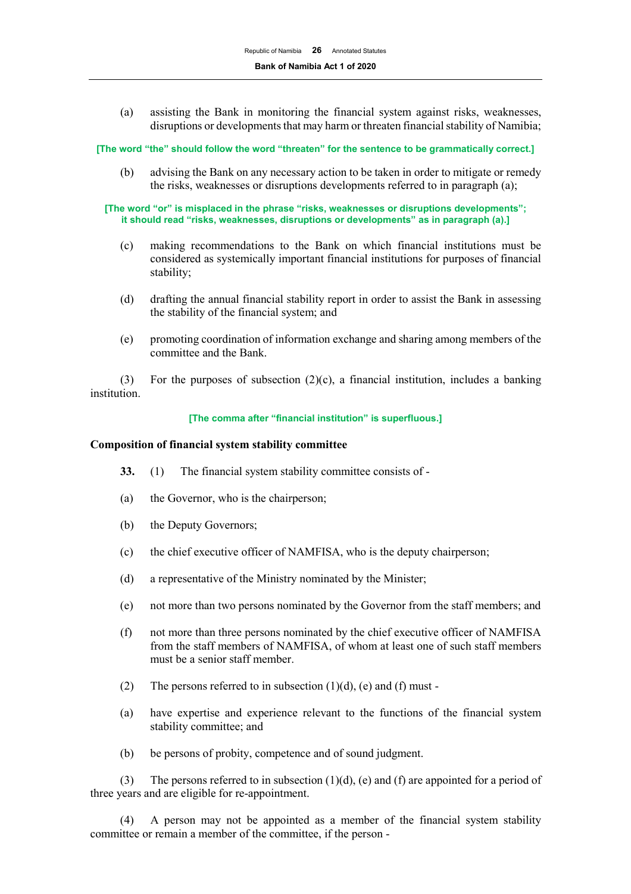(a) assisting the Bank in monitoring the financial system against risks, weaknesses, disruptions or developments that may harm or threaten financial stability of Namibia;

**[The word "the" should follow the word "threaten" for the sentence to be grammatically correct.]**

(b) advising the Bank on any necessary action to be taken in order to mitigate or remedy the risks, weaknesses or disruptions developments referred to in paragraph (a);

**[The word "or" is misplaced in the phrase "risks, weaknesses or disruptions developments"; it should read "risks, weaknesses, disruptions or developments" as in paragraph (a).]**

- (c) making recommendations to the Bank on which financial institutions must be considered as systemically important financial institutions for purposes of financial stability;
- (d) drafting the annual financial stability report in order to assist the Bank in assessing the stability of the financial system; and
- (e) promoting coordination of information exchange and sharing among members of the committee and the Bank.

(3) For the purposes of subsection (2)(c), a financial institution, includes a banking institution.

#### **[The comma after "financial institution" is superfluous.]**

#### **Composition of financial system stability committee**

- **33.** (1) The financial system stability committee consists of -
- (a) the Governor, who is the chairperson;
- (b) the Deputy Governors;
- (c) the chief executive officer of NAMFISA, who is the deputy chairperson;
- (d) a representative of the Ministry nominated by the Minister;
- (e) not more than two persons nominated by the Governor from the staff members; and
- (f) not more than three persons nominated by the chief executive officer of NAMFISA from the staff members of NAMFISA, of whom at least one of such staff members must be a senior staff member.
- (2) The persons referred to in subsection  $(1)(d)$ , (e) and (f) must -
- (a) have expertise and experience relevant to the functions of the financial system stability committee; and
- (b) be persons of probity, competence and of sound judgment.

(3) The persons referred to in subsection  $(1)(d)$ , (e) and (f) are appointed for a period of three years and are eligible for re-appointment.

(4) A person may not be appointed as a member of the financial system stability committee or remain a member of the committee, if the person -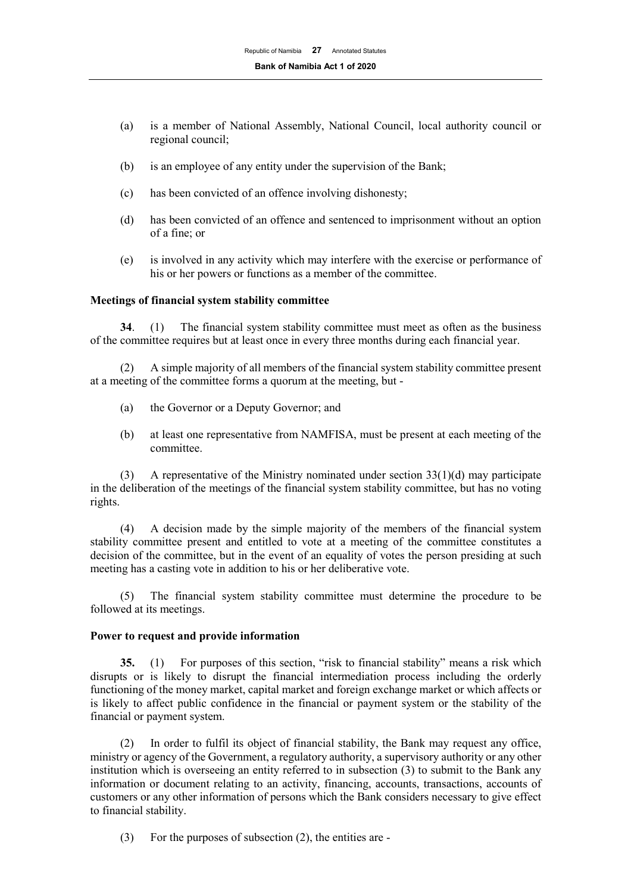- (a) is a member of National Assembly, National Council, local authority council or regional council;
- (b) is an employee of any entity under the supervision of the Bank;
- (c) has been convicted of an offence involving dishonesty;
- (d) has been convicted of an offence and sentenced to imprisonment without an option of a fine; or
- (e) is involved in any activity which may interfere with the exercise or performance of his or her powers or functions as a member of the committee.

#### **Meetings of financial system stability committee**

**34**. (1) The financial system stability committee must meet as often as the business of the committee requires but at least once in every three months during each financial year.

(2) A simple majority of all members of the financial system stability committee present at a meeting of the committee forms a quorum at the meeting, but -

- (a) the Governor or a Deputy Governor; and
- (b) at least one representative from NAMFISA, must be present at each meeting of the committee.

(3) A representative of the Ministry nominated under section 33(1)(d) may participate in the deliberation of the meetings of the financial system stability committee, but has no voting rights.

(4) A decision made by the simple majority of the members of the financial system stability committee present and entitled to vote at a meeting of the committee constitutes a decision of the committee, but in the event of an equality of votes the person presiding at such meeting has a casting vote in addition to his or her deliberative vote.

(5) The financial system stability committee must determine the procedure to be followed at its meetings.

#### **Power to request and provide information**

**35.** (1) For purposes of this section, "risk to financial stability" means a risk which disrupts or is likely to disrupt the financial intermediation process including the orderly functioning of the money market, capital market and foreign exchange market or which affects or is likely to affect public confidence in the financial or payment system or the stability of the financial or payment system.

(2) In order to fulfil its object of financial stability, the Bank may request any office, ministry or agency of the Government, a regulatory authority, a supervisory authority or any other institution which is overseeing an entity referred to in subsection (3) to submit to the Bank any information or document relating to an activity, financing, accounts, transactions, accounts of customers or any other information of persons which the Bank considers necessary to give effect to financial stability.

(3) For the purposes of subsection (2), the entities are -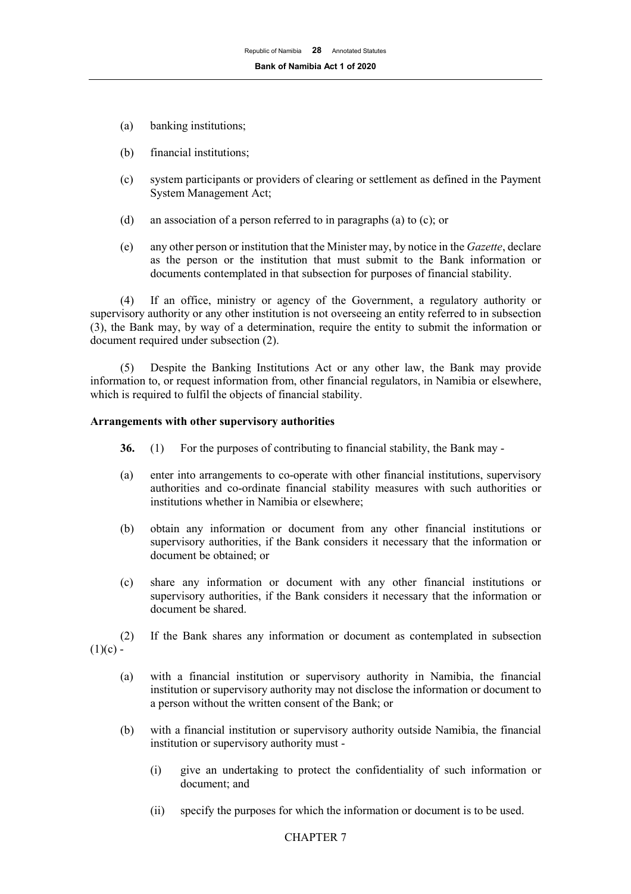- (a) banking institutions;
- (b) financial institutions;
- (c) system participants or providers of clearing or settlement as defined in the Payment System Management Act;
- (d) an association of a person referred to in paragraphs (a) to (c); or
- (e) any other person or institution that the Minister may, by notice in the *Gazette*, declare as the person or the institution that must submit to the Bank information or documents contemplated in that subsection for purposes of financial stability.

(4) If an office, ministry or agency of the Government, a regulatory authority or supervisory authority or any other institution is not overseeing an entity referred to in subsection (3), the Bank may, by way of a determination, require the entity to submit the information or document required under subsection (2).

(5) Despite the Banking Institutions Act or any other law, the Bank may provide information to, or request information from, other financial regulators, in Namibia or elsewhere, which is required to fulfil the objects of financial stability.

#### **Arrangements with other supervisory authorities**

- **36.** (1) For the purposes of contributing to financial stability, the Bank may -
- (a) enter into arrangements to co-operate with other financial institutions, supervisory authorities and co-ordinate financial stability measures with such authorities or institutions whether in Namibia or elsewhere;
- (b) obtain any information or document from any other financial institutions or supervisory authorities, if the Bank considers it necessary that the information or document be obtained; or
- (c) share any information or document with any other financial institutions or supervisory authorities, if the Bank considers it necessary that the information or document be shared.
- (2) If the Bank shares any information or document as contemplated in subsection  $(1)(c)$  -
	- (a) with a financial institution or supervisory authority in Namibia, the financial institution or supervisory authority may not disclose the information or document to a person without the written consent of the Bank; or
	- (b) with a financial institution or supervisory authority outside Namibia, the financial institution or supervisory authority must -
		- (i) give an undertaking to protect the confidentiality of such information or document; and
		- (ii) specify the purposes for which the information or document is to be used.

## CHAPTER 7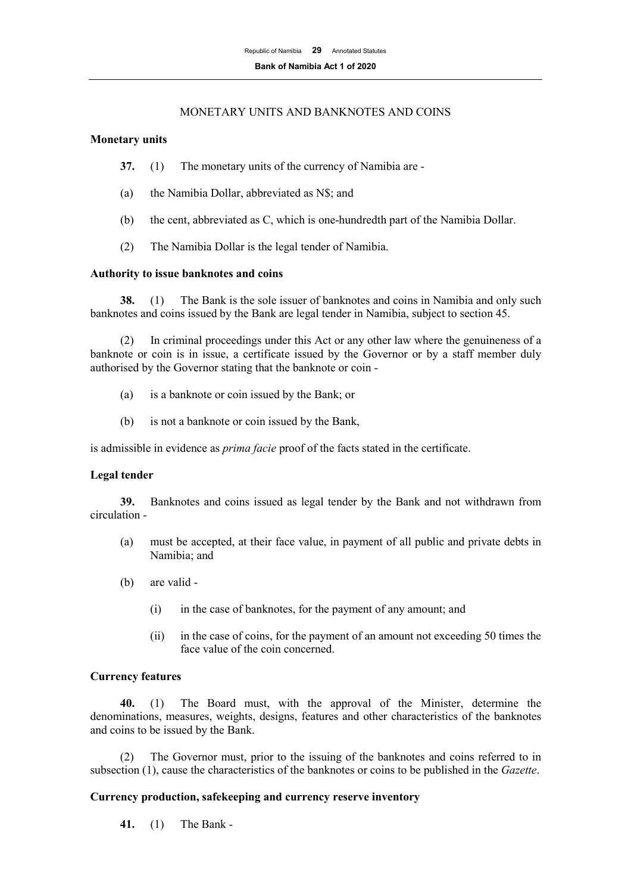## MONETARY UNITS AND BANKNOTES AND COINS

#### **Monetary units**

- **37.** (1) The monetary units of the currency of Namibia are -
- (a) the Namibia Dollar, abbreviated as N\$; and
- (b) the cent, abbreviated as C, which is one-hundredth part of the Namibia Dollar.
- (2) The Namibia Dollar is the legal tender of Namibia.

#### **Authority to issue banknotes and coins**

**38.** (1) The Bank is the sole issuer of banknotes and coins in Namibia and only such banknotes and coins issued by the Bank are legal tender in Namibia, subject to section 45.

(2) In criminal proceedings under this Act or any other law where the genuineness of a banknote or coin is in issue, a certificate issued by the Governor or by a staff member duly authorised by the Governor stating that the banknote or coin -

- (a) is a banknote or coin issued by the Bank; or
- (b) is not a banknote or coin issued by the Bank,

is admissible in evidence as *prima facie* proof of the facts stated in the certificate.

## **Legal tender**

**39.** Banknotes and coins issued as legal tender by the Bank and not withdrawn from circulation -

- (a) must be accepted, at their face value, in payment of all public and private debts in Namibia; and
- (b) are valid
	- (i) in the case of banknotes, for the payment of any amount; and
	- (ii) in the case of coins, for the payment of an amount not exceeding 50 times the face value of the coin concerned.

## **Currency features**

**40.** (1) The Board must, with the approval of the Minister, determine the denominations, measures, weights, designs, features and other characteristics of the banknotes and coins to be issued by the Bank.

(2) The Governor must, prior to the issuing of the banknotes and coins referred to in subsection (1), cause the characteristics of the banknotes or coins to be published in the *Gazette*.

## **Currency production, safekeeping and currency reserve inventory**

**41.** (1) The Bank -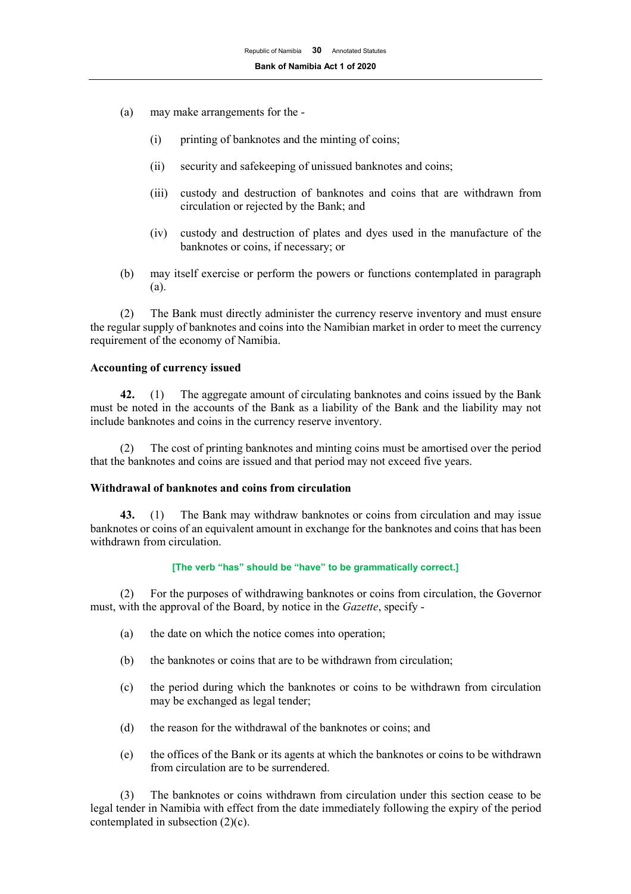- (a) may make arrangements for the
	- (i) printing of banknotes and the minting of coins;
	- (ii) security and safekeeping of unissued banknotes and coins;
	- (iii) custody and destruction of banknotes and coins that are withdrawn from circulation or rejected by the Bank; and
	- (iv) custody and destruction of plates and dyes used in the manufacture of the banknotes or coins, if necessary; or
- (b) may itself exercise or perform the powers or functions contemplated in paragraph (a).

(2) The Bank must directly administer the currency reserve inventory and must ensure the regular supply of banknotes and coins into the Namibian market in order to meet the currency requirement of the economy of Namibia.

## **Accounting of currency issued**

**42.** (1) The aggregate amount of circulating banknotes and coins issued by the Bank must be noted in the accounts of the Bank as a liability of the Bank and the liability may not include banknotes and coins in the currency reserve inventory.

The cost of printing banknotes and minting coins must be amortised over the period that the banknotes and coins are issued and that period may not exceed five years.

#### **Withdrawal of banknotes and coins from circulation**

**43.** (1) The Bank may withdraw banknotes or coins from circulation and may issue banknotes or coins of an equivalent amount in exchange for the banknotes and coins that has been withdrawn from circulation.

#### **[The verb "has" should be "have" to be grammatically correct.]**

(2) For the purposes of withdrawing banknotes or coins from circulation, the Governor must, with the approval of the Board, by notice in the *Gazette*, specify -

- (a) the date on which the notice comes into operation;
- (b) the banknotes or coins that are to be withdrawn from circulation;
- (c) the period during which the banknotes or coins to be withdrawn from circulation may be exchanged as legal tender;
- (d) the reason for the withdrawal of the banknotes or coins; and
- (e) the offices of the Bank or its agents at which the banknotes or coins to be withdrawn from circulation are to be surrendered.

(3) The banknotes or coins withdrawn from circulation under this section cease to be legal tender in Namibia with effect from the date immediately following the expiry of the period contemplated in subsection (2)(c).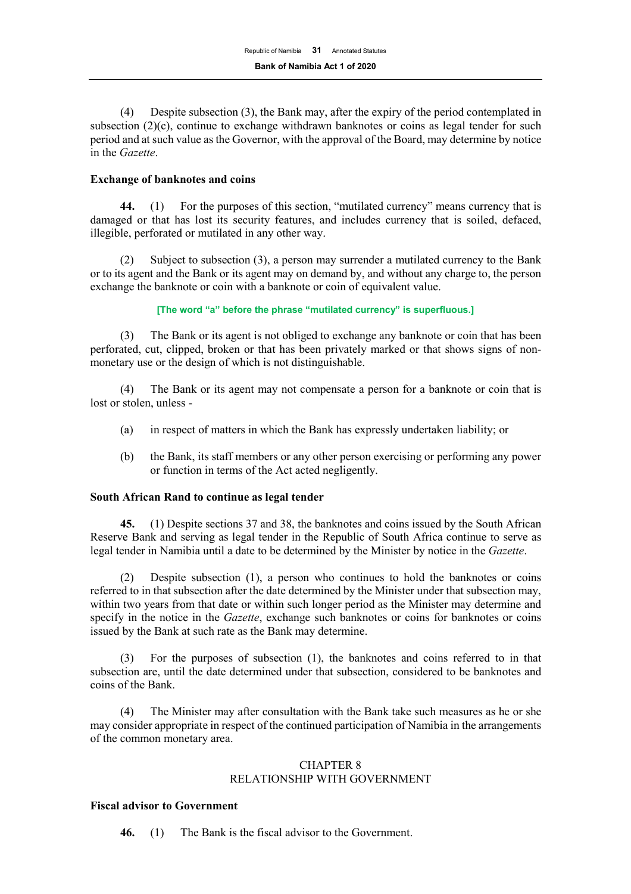(4) Despite subsection (3), the Bank may, after the expiry of the period contemplated in subsection  $(2)(c)$ , continue to exchange withdrawn banknotes or coins as legal tender for such period and at such value as the Governor, with the approval of the Board, may determine by notice in the *Gazette*.

## **Exchange of banknotes and coins**

**44.** (1) For the purposes of this section, "mutilated currency" means currency that is damaged or that has lost its security features, and includes currency that is soiled, defaced, illegible, perforated or mutilated in any other way.

(2) Subject to subsection (3), a person may surrender a mutilated currency to the Bank or to its agent and the Bank or its agent may on demand by, and without any charge to, the person exchange the banknote or coin with a banknote or coin of equivalent value.

#### **[The word "a" before the phrase "mutilated currency" is superfluous.]**

(3) The Bank or its agent is not obliged to exchange any banknote or coin that has been perforated, cut, clipped, broken or that has been privately marked or that shows signs of nonmonetary use or the design of which is not distinguishable.

(4) The Bank or its agent may not compensate a person for a banknote or coin that is lost or stolen, unless -

- (a) in respect of matters in which the Bank has expressly undertaken liability; or
- (b) the Bank, its staff members or any other person exercising or performing any power or function in terms of the Act acted negligently.

## **South African Rand to continue as legal tender**

**45.** (1) Despite sections 37 and 38, the banknotes and coins issued by the South African Reserve Bank and serving as legal tender in the Republic of South Africa continue to serve as legal tender in Namibia until a date to be determined by the Minister by notice in the *Gazette*.

(2) Despite subsection (1), a person who continues to hold the banknotes or coins referred to in that subsection after the date determined by the Minister under that subsection may, within two years from that date or within such longer period as the Minister may determine and specify in the notice in the *Gazette*, exchange such banknotes or coins for banknotes or coins issued by the Bank at such rate as the Bank may determine.

(3) For the purposes of subsection (1), the banknotes and coins referred to in that subsection are, until the date determined under that subsection, considered to be banknotes and coins of the Bank.

(4) The Minister may after consultation with the Bank take such measures as he or she may consider appropriate in respect of the continued participation of Namibia in the arrangements of the common monetary area.

#### CHAPTER 8 RELATIONSHIP WITH GOVERNMENT

## **Fiscal advisor to Government**

**46.** (1) The Bank is the fiscal advisor to the Government.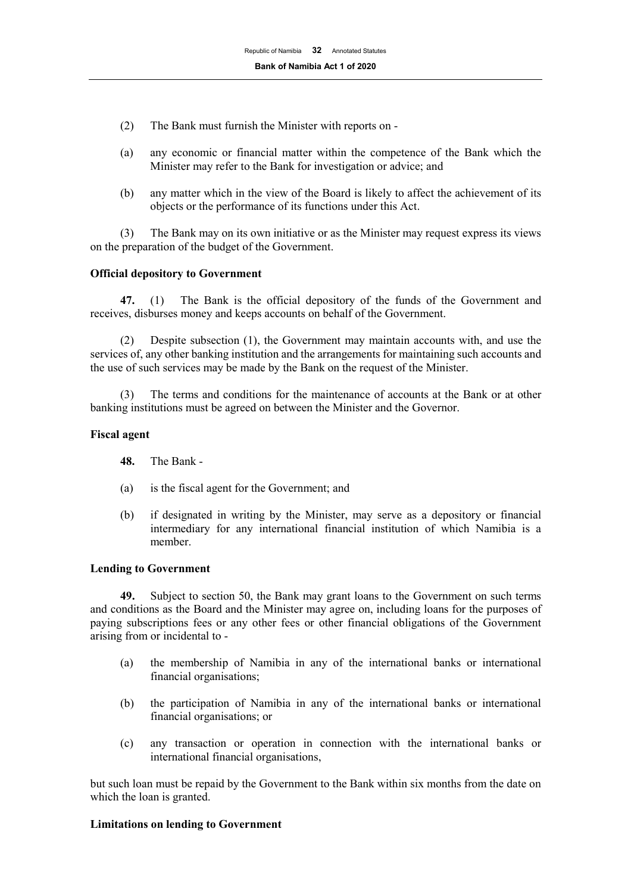- (2) The Bank must furnish the Minister with reports on -
- (a) any economic or financial matter within the competence of the Bank which the Minister may refer to the Bank for investigation or advice; and
- (b) any matter which in the view of the Board is likely to affect the achievement of its objects or the performance of its functions under this Act.

(3) The Bank may on its own initiative or as the Minister may request express its views on the preparation of the budget of the Government.

#### **Official depository to Government**

**47.** (1) The Bank is the official depository of the funds of the Government and receives, disburses money and keeps accounts on behalf of the Government.

(2) Despite subsection (1), the Government may maintain accounts with, and use the services of, any other banking institution and the arrangements for maintaining such accounts and the use of such services may be made by the Bank on the request of the Minister.

(3) The terms and conditions for the maintenance of accounts at the Bank or at other banking institutions must be agreed on between the Minister and the Governor.

#### **Fiscal agent**

- **48.** The Bank -
- (a) is the fiscal agent for the Government; and
- (b) if designated in writing by the Minister, may serve as a depository or financial intermediary for any international financial institution of which Namibia is a member.

#### **Lending to Government**

**49.** Subject to section 50, the Bank may grant loans to the Government on such terms and conditions as the Board and the Minister may agree on, including loans for the purposes of paying subscriptions fees or any other fees or other financial obligations of the Government arising from or incidental to -

- (a) the membership of Namibia in any of the international banks or international financial organisations;
- (b) the participation of Namibia in any of the international banks or international financial organisations; or
- (c) any transaction or operation in connection with the international banks or international financial organisations,

but such loan must be repaid by the Government to the Bank within six months from the date on which the loan is granted.

#### **Limitations on lending to Government**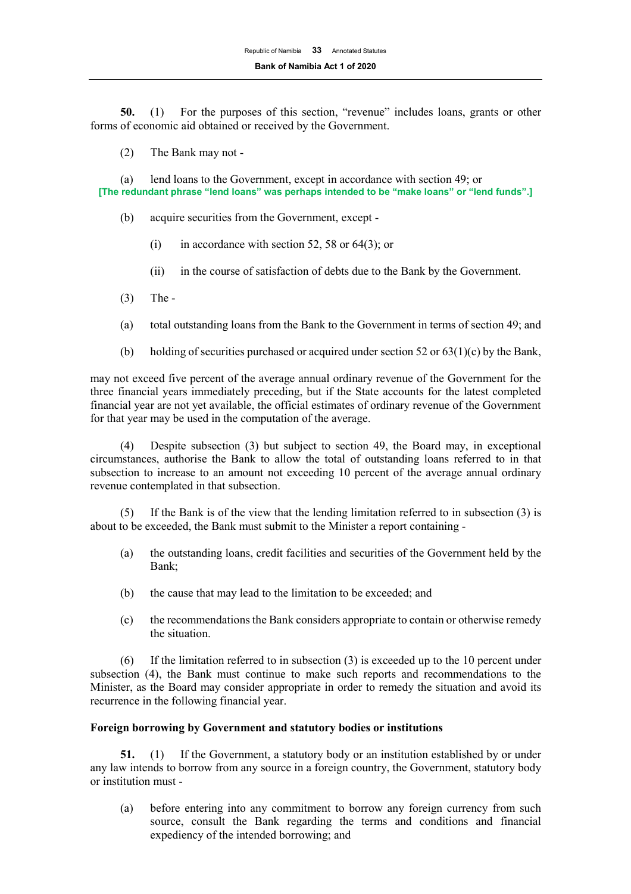**50.** (1) For the purposes of this section, "revenue" includes loans, grants or other forms of economic aid obtained or received by the Government.

(2) The Bank may not -

(a) lend loans to the Government, except in accordance with section 49; or **[The redundant phrase "lend loans" was perhaps intended to be "make loans" or "lend funds".]**

(b) acquire securities from the Government, except -

- (i) in accordance with section 52, 58 or  $64(3)$ ; or
- (ii) in the course of satisfaction of debts due to the Bank by the Government.
- (3) The -
- (a) total outstanding loans from the Bank to the Government in terms of section 49; and
- (b) holding of securities purchased or acquired under section 52 or  $63(1)(c)$  by the Bank,

may not exceed five percent of the average annual ordinary revenue of the Government for the three financial years immediately preceding, but if the State accounts for the latest completed financial year are not yet available, the official estimates of ordinary revenue of the Government for that year may be used in the computation of the average.

(4) Despite subsection (3) but subject to section 49, the Board may, in exceptional circumstances, authorise the Bank to allow the total of outstanding loans referred to in that subsection to increase to an amount not exceeding 10 percent of the average annual ordinary revenue contemplated in that subsection.

(5) If the Bank is of the view that the lending limitation referred to in subsection (3) is about to be exceeded, the Bank must submit to the Minister a report containing -

- (a) the outstanding loans, credit facilities and securities of the Government held by the Bank;
- (b) the cause that may lead to the limitation to be exceeded; and
- (c) the recommendations the Bank considers appropriate to contain or otherwise remedy the situation.

(6) If the limitation referred to in subsection (3) is exceeded up to the 10 percent under subsection (4), the Bank must continue to make such reports and recommendations to the Minister, as the Board may consider appropriate in order to remedy the situation and avoid its recurrence in the following financial year.

#### **Foreign borrowing by Government and statutory bodies or institutions**

**51.** (1) If the Government, a statutory body or an institution established by or under any law intends to borrow from any source in a foreign country, the Government, statutory body or institution must -

(a) before entering into any commitment to borrow any foreign currency from such source, consult the Bank regarding the terms and conditions and financial expediency of the intended borrowing; and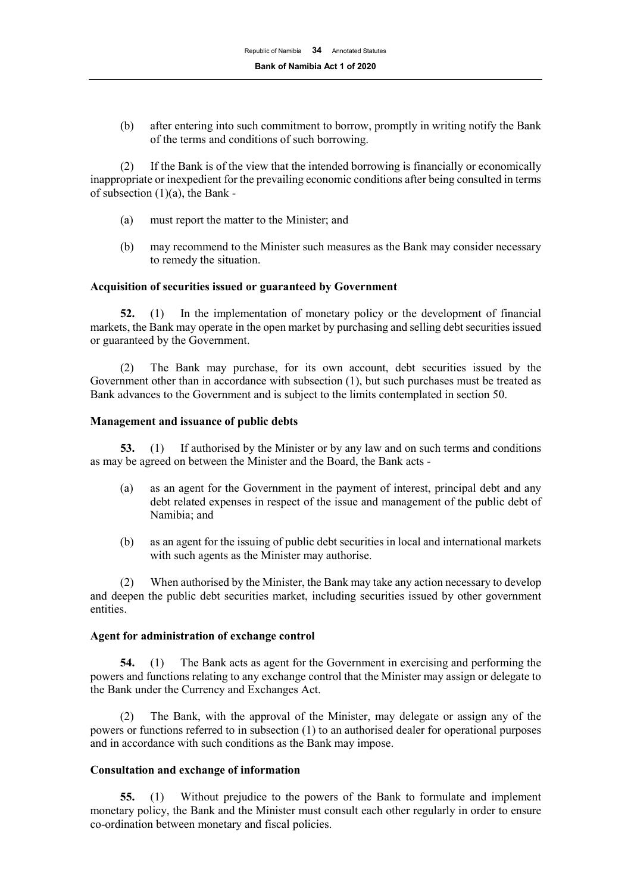(b) after entering into such commitment to borrow, promptly in writing notify the Bank of the terms and conditions of such borrowing.

(2) If the Bank is of the view that the intended borrowing is financially or economically inappropriate or inexpedient for the prevailing economic conditions after being consulted in terms of subsection (1)(a), the Bank -

- (a) must report the matter to the Minister; and
- (b) may recommend to the Minister such measures as the Bank may consider necessary to remedy the situation.

#### **Acquisition of securities issued or guaranteed by Government**

**52.** (1) In the implementation of monetary policy or the development of financial markets, the Bank may operate in the open market by purchasing and selling debt securities issued or guaranteed by the Government.

(2) The Bank may purchase, for its own account, debt securities issued by the Government other than in accordance with subsection (1), but such purchases must be treated as Bank advances to the Government and is subject to the limits contemplated in section 50.

#### **Management and issuance of public debts**

**53.** (1) If authorised by the Minister or by any law and on such terms and conditions as may be agreed on between the Minister and the Board, the Bank acts -

- (a) as an agent for the Government in the payment of interest, principal debt and any debt related expenses in respect of the issue and management of the public debt of Namibia; and
- (b) as an agent for the issuing of public debt securities in local and international markets with such agents as the Minister may authorise.

(2) When authorised by the Minister, the Bank may take any action necessary to develop and deepen the public debt securities market, including securities issued by other government entities.

#### **Agent for administration of exchange control**

**54.** (1) The Bank acts as agent for the Government in exercising and performing the powers and functions relating to any exchange control that the Minister may assign or delegate to the Bank under the Currency and Exchanges Act.

(2) The Bank, with the approval of the Minister, may delegate or assign any of the powers or functions referred to in subsection (1) to an authorised dealer for operational purposes and in accordance with such conditions as the Bank may impose.

## **Consultation and exchange of information**

**55.** (1) Without prejudice to the powers of the Bank to formulate and implement monetary policy, the Bank and the Minister must consult each other regularly in order to ensure co-ordination between monetary and fiscal policies.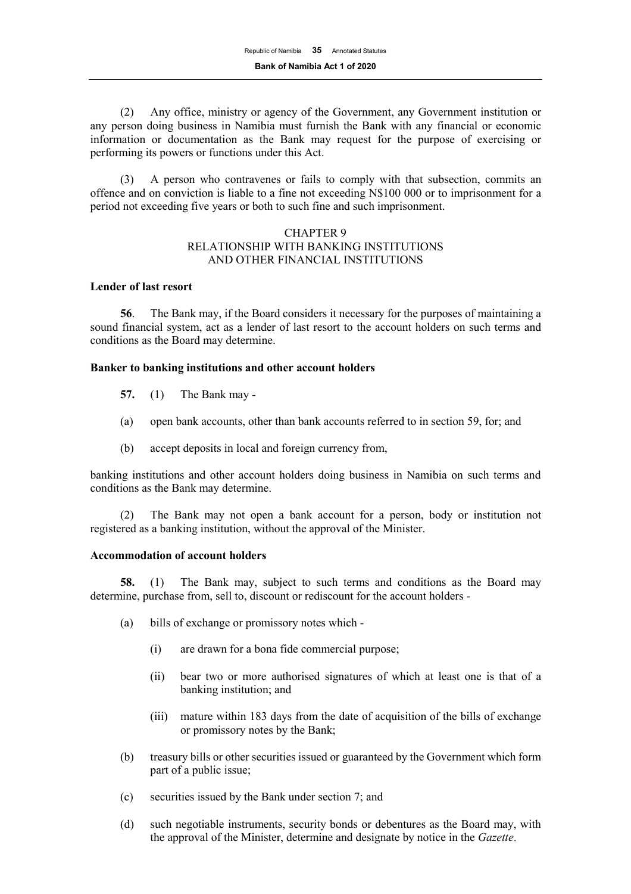(2) Any office, ministry or agency of the Government, any Government institution or any person doing business in Namibia must furnish the Bank with any financial or economic information or documentation as the Bank may request for the purpose of exercising or performing its powers or functions under this Act.

(3) A person who contravenes or fails to comply with that subsection, commits an offence and on conviction is liable to a fine not exceeding N\$100 000 or to imprisonment for a period not exceeding five years or both to such fine and such imprisonment.

#### CHAPTER 9 RELATIONSHIP WITH BANKING INSTITUTIONS AND OTHER FINANCIAL INSTITUTIONS

#### **Lender of last resort**

**56**. The Bank may, if the Board considers it necessary for the purposes of maintaining a sound financial system, act as a lender of last resort to the account holders on such terms and conditions as the Board may determine.

#### **Banker to banking institutions and other account holders**

- **57.** (1) The Bank may -
- (a) open bank accounts, other than bank accounts referred to in section 59, for; and
- (b) accept deposits in local and foreign currency from,

banking institutions and other account holders doing business in Namibia on such terms and conditions as the Bank may determine.

The Bank may not open a bank account for a person, body or institution not registered as a banking institution, without the approval of the Minister.

#### **Accommodation of account holders**

**58.** (1) The Bank may, subject to such terms and conditions as the Board may determine, purchase from, sell to, discount or rediscount for the account holders -

- (a) bills of exchange or promissory notes which
	- (i) are drawn for a bona fide commercial purpose;
	- (ii) bear two or more authorised signatures of which at least one is that of a banking institution; and
	- (iii) mature within 183 days from the date of acquisition of the bills of exchange or promissory notes by the Bank;
- (b) treasury bills or other securities issued or guaranteed by the Government which form part of a public issue;
- (c) securities issued by the Bank under section 7; and
- (d) such negotiable instruments, security bonds or debentures as the Board may, with the approval of the Minister, determine and designate by notice in the *Gazette*.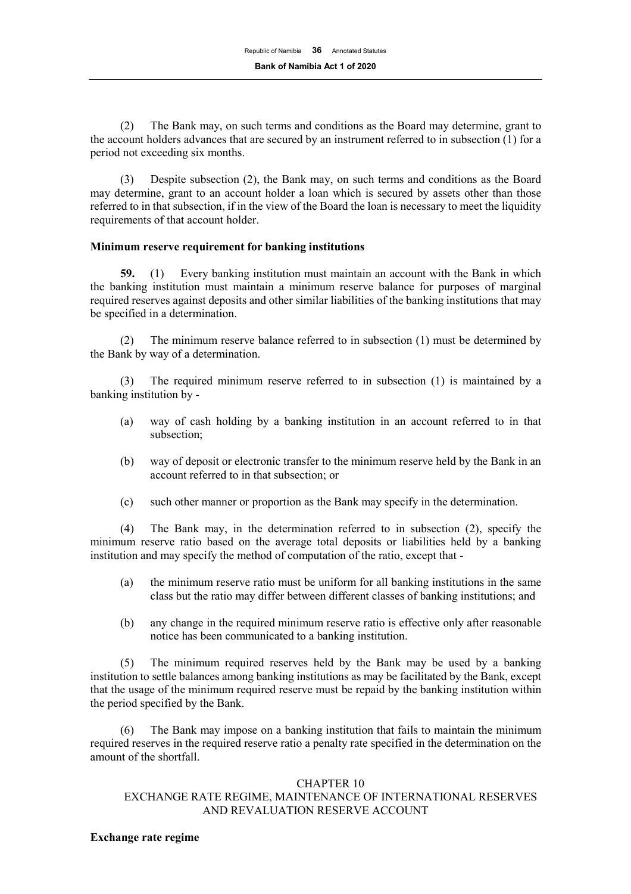(2) The Bank may, on such terms and conditions as the Board may determine, grant to the account holders advances that are secured by an instrument referred to in subsection (1) for a period not exceeding six months.

(3) Despite subsection (2), the Bank may, on such terms and conditions as the Board may determine, grant to an account holder a loan which is secured by assets other than those referred to in that subsection, if in the view of the Board the loan is necessary to meet the liquidity requirements of that account holder.

#### **Minimum reserve requirement for banking institutions**

**59.** (1) Every banking institution must maintain an account with the Bank in which the banking institution must maintain a minimum reserve balance for purposes of marginal required reserves against deposits and other similar liabilities of the banking institutions that may be specified in a determination.

(2) The minimum reserve balance referred to in subsection (1) must be determined by the Bank by way of a determination.

(3) The required minimum reserve referred to in subsection (1) is maintained by a banking institution by -

- (a) way of cash holding by a banking institution in an account referred to in that subsection;
- (b) way of deposit or electronic transfer to the minimum reserve held by the Bank in an account referred to in that subsection; or
- (c) such other manner or proportion as the Bank may specify in the determination.

(4) The Bank may, in the determination referred to in subsection (2), specify the minimum reserve ratio based on the average total deposits or liabilities held by a banking institution and may specify the method of computation of the ratio, except that -

- (a) the minimum reserve ratio must be uniform for all banking institutions in the same class but the ratio may differ between different classes of banking institutions; and
- (b) any change in the required minimum reserve ratio is effective only after reasonable notice has been communicated to a banking institution.

(5) The minimum required reserves held by the Bank may be used by a banking institution to settle balances among banking institutions as may be facilitated by the Bank, except that the usage of the minimum required reserve must be repaid by the banking institution within the period specified by the Bank.

The Bank may impose on a banking institution that fails to maintain the minimum required reserves in the required reserve ratio a penalty rate specified in the determination on the amount of the shortfall.

## CHAPTER 10

# EXCHANGE RATE REGIME, MAINTENANCE OF INTERNATIONAL RESERVES AND REVALUATION RESERVE ACCOUNT

#### **Exchange rate regime**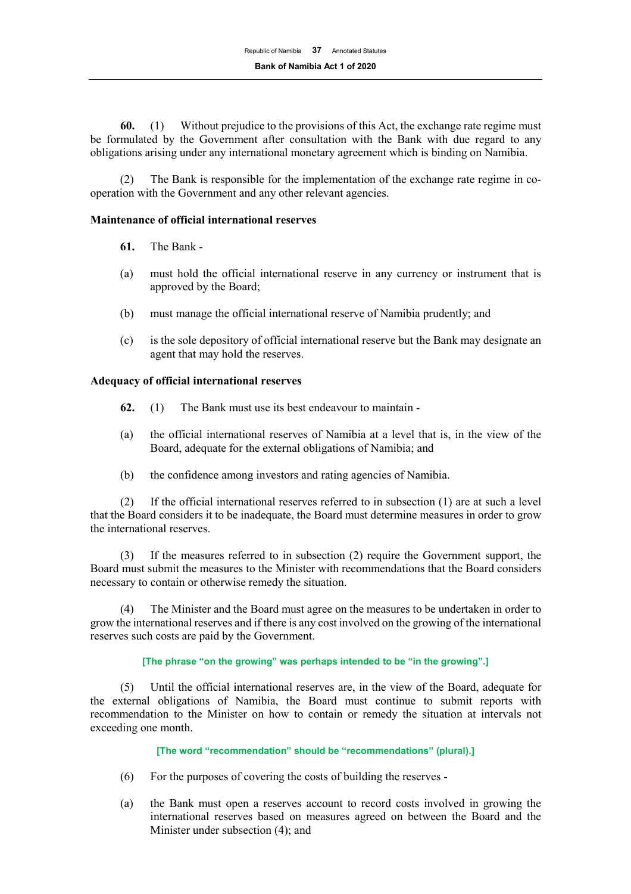**60.** (1) Without prejudice to the provisions of this Act, the exchange rate regime must be formulated by the Government after consultation with the Bank with due regard to any obligations arising under any international monetary agreement which is binding on Namibia.

(2) The Bank is responsible for the implementation of the exchange rate regime in cooperation with the Government and any other relevant agencies.

## **Maintenance of official international reserves**

- **61.** The Bank -
- (a) must hold the official international reserve in any currency or instrument that is approved by the Board;
- (b) must manage the official international reserve of Namibia prudently; and
- (c) is the sole depository of official international reserve but the Bank may designate an agent that may hold the reserves.

#### **Adequacy of official international reserves**

- **62.** (1) The Bank must use its best endeavour to maintain -
- (a) the official international reserves of Namibia at a level that is, in the view of the Board, adequate for the external obligations of Namibia; and
- (b) the confidence among investors and rating agencies of Namibia.

(2) If the official international reserves referred to in subsection (1) are at such a level that the Board considers it to be inadequate, the Board must determine measures in order to grow the international reserves.

(3) If the measures referred to in subsection (2) require the Government support, the Board must submit the measures to the Minister with recommendations that the Board considers necessary to contain or otherwise remedy the situation.

(4) The Minister and the Board must agree on the measures to be undertaken in order to grow the international reserves and if there is any cost involved on the growing of the international reserves such costs are paid by the Government.

#### **[The phrase "on the growing" was perhaps intended to be "in the growing".]**

(5) Until the official international reserves are, in the view of the Board, adequate for the external obligations of Namibia, the Board must continue to submit reports with recommendation to the Minister on how to contain or remedy the situation at intervals not exceeding one month.

**[The word "recommendation" should be "recommendations" (plural).]**

- (6) For the purposes of covering the costs of building the reserves -
- (a) the Bank must open a reserves account to record costs involved in growing the international reserves based on measures agreed on between the Board and the Minister under subsection (4); and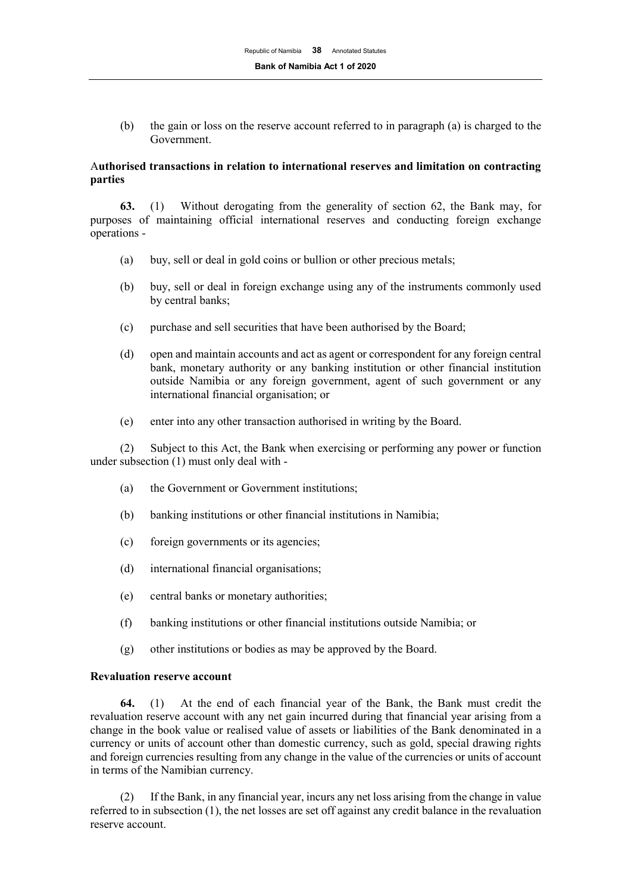(b) the gain or loss on the reserve account referred to in paragraph (a) is charged to the Government.

## A**uthorised transactions in relation to international reserves and limitation on contracting parties**

**63.** (1) Without derogating from the generality of section 62, the Bank may, for purposes of maintaining official international reserves and conducting foreign exchange operations -

- (a) buy, sell or deal in gold coins or bullion or other precious metals;
- (b) buy, sell or deal in foreign exchange using any of the instruments commonly used by central banks;
- (c) purchase and sell securities that have been authorised by the Board;
- (d) open and maintain accounts and act as agent or correspondent for any foreign central bank, monetary authority or any banking institution or other financial institution outside Namibia or any foreign government, agent of such government or any international financial organisation; or
- (e) enter into any other transaction authorised in writing by the Board.

(2) Subject to this Act, the Bank when exercising or performing any power or function under subsection (1) must only deal with -

- (a) the Government or Government institutions;
- (b) banking institutions or other financial institutions in Namibia;
- (c) foreign governments or its agencies;
- (d) international financial organisations;
- (e) central banks or monetary authorities;
- (f) banking institutions or other financial institutions outside Namibia; or
- (g) other institutions or bodies as may be approved by the Board.

#### **Revaluation reserve account**

**64.** (1) At the end of each financial year of the Bank, the Bank must credit the revaluation reserve account with any net gain incurred during that financial year arising from a change in the book value or realised value of assets or liabilities of the Bank denominated in a currency or units of account other than domestic currency, such as gold, special drawing rights and foreign currencies resulting from any change in the value of the currencies or units of account in terms of the Namibian currency.

(2) If the Bank, in any financial year, incurs any net loss arising from the change in value referred to in subsection (1), the net losses are set off against any credit balance in the revaluation reserve account.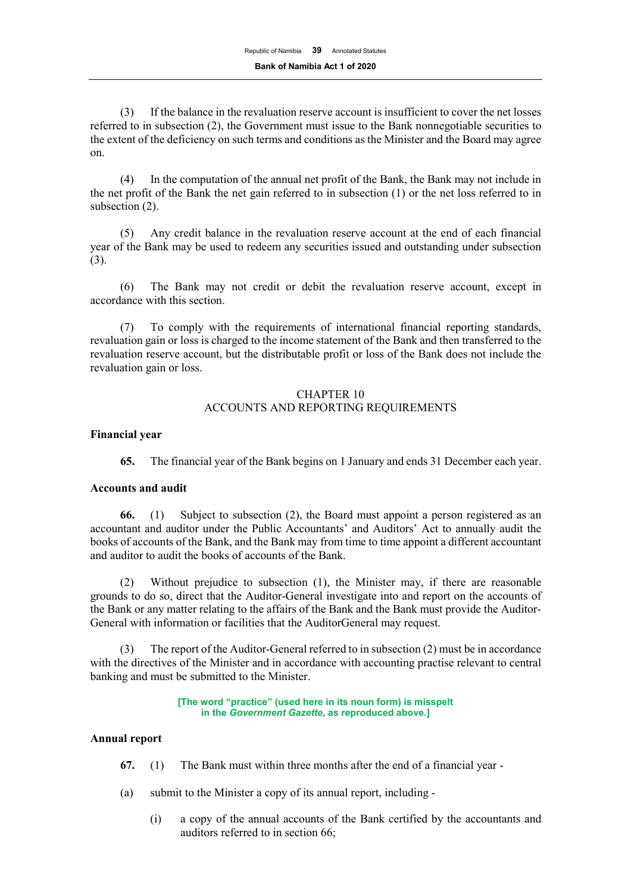(3) If the balance in the revaluation reserve account is insufficient to cover the net losses referred to in subsection (2), the Government must issue to the Bank nonnegotiable securities to the extent of the deficiency on such terms and conditions as the Minister and the Board may agree on.

(4) In the computation of the annual net profit of the Bank, the Bank may not include in the net profit of the Bank the net gain referred to in subsection (1) or the net loss referred to in subsection (2).

(5) Any credit balance in the revaluation reserve account at the end of each financial year of the Bank may be used to redeem any securities issued and outstanding under subsection (3).

(6) The Bank may not credit or debit the revaluation reserve account, except in accordance with this section.

(7) To comply with the requirements of international financial reporting standards, revaluation gain or loss is charged to the income statement of the Bank and then transferred to the revaluation reserve account, but the distributable profit or loss of the Bank does not include the revaluation gain or loss.

## CHAPTER 10 ACCOUNTS AND REPORTING REQUIREMENTS

## **Financial year**

**65.** The financial year of the Bank begins on 1 January and ends 31 December each year.

## **Accounts and audit**

**66.** (1) Subject to subsection (2), the Board must appoint a person registered as an accountant and auditor under the Public Accountants' and Auditors' Act to annually audit the books of accounts of the Bank, and the Bank may from time to time appoint a different accountant and auditor to audit the books of accounts of the Bank.

(2) Without prejudice to subsection (1), the Minister may, if there are reasonable grounds to do so, direct that the Auditor-General investigate into and report on the accounts of the Bank or any matter relating to the affairs of the Bank and the Bank must provide the Auditor-General with information or facilities that the AuditorGeneral may request.

(3) The report of the Auditor-General referred to in subsection (2) must be in accordance with the directives of the Minister and in accordance with accounting practise relevant to central banking and must be submitted to the Minister.

#### **[The word "practice" (used here in its noun form) is misspelt in the** *Government Gazette***, as reproduced above.]**

## **Annual report**

- **67.** (1) The Bank must within three months after the end of a financial year -
- (a) submit to the Minister a copy of its annual report, including
	- (i) a copy of the annual accounts of the Bank certified by the accountants and auditors referred to in section 66;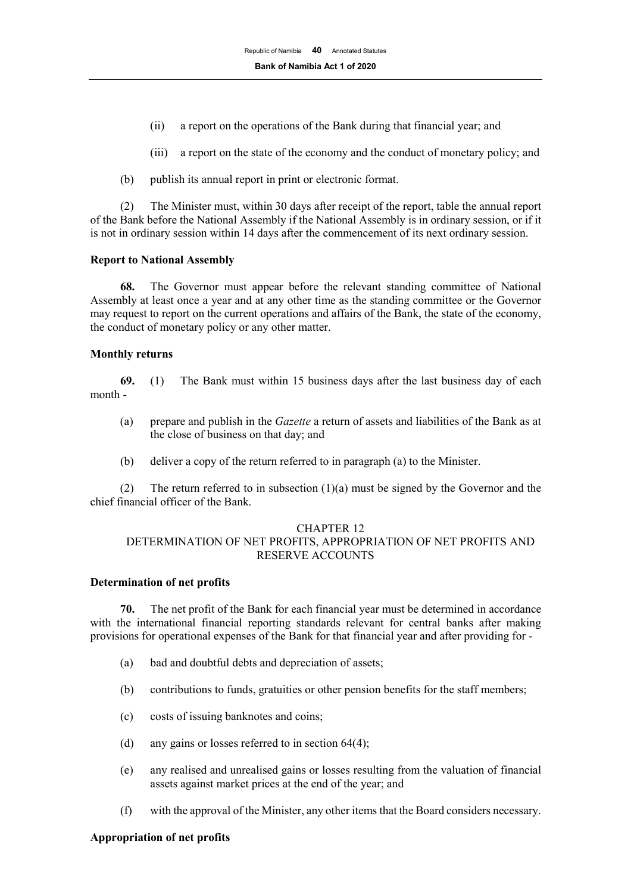- (ii) a report on the operations of the Bank during that financial year; and
- (iii) a report on the state of the economy and the conduct of monetary policy; and
- (b) publish its annual report in print or electronic format.

(2) The Minister must, within 30 days after receipt of the report, table the annual report of the Bank before the National Assembly if the National Assembly is in ordinary session, or if it is not in ordinary session within 14 days after the commencement of its next ordinary session.

#### **Report to National Assembly**

**68.** The Governor must appear before the relevant standing committee of National Assembly at least once a year and at any other time as the standing committee or the Governor may request to report on the current operations and affairs of the Bank, the state of the economy, the conduct of monetary policy or any other matter.

#### **Monthly returns**

**69.** (1) The Bank must within 15 business days after the last business day of each month -

- (a) prepare and publish in the *Gazette* a return of assets and liabilities of the Bank as at the close of business on that day; and
- (b) deliver a copy of the return referred to in paragraph (a) to the Minister.

(2) The return referred to in subsection  $(1)(a)$  must be signed by the Governor and the chief financial officer of the Bank.

#### CHAPTER 12

## DETERMINATION OF NET PROFITS, APPROPRIATION OF NET PROFITS AND RESERVE ACCOUNTS

## **Determination of net profits**

**70.** The net profit of the Bank for each financial year must be determined in accordance with the international financial reporting standards relevant for central banks after making provisions for operational expenses of the Bank for that financial year and after providing for -

- (a) bad and doubtful debts and depreciation of assets;
- (b) contributions to funds, gratuities or other pension benefits for the staff members;
- (c) costs of issuing banknotes and coins;
- (d) any gains or losses referred to in section 64(4);
- (e) any realised and unrealised gains or losses resulting from the valuation of financial assets against market prices at the end of the year; and
- (f) with the approval of the Minister, any other items that the Board considers necessary.

## **Appropriation of net profits**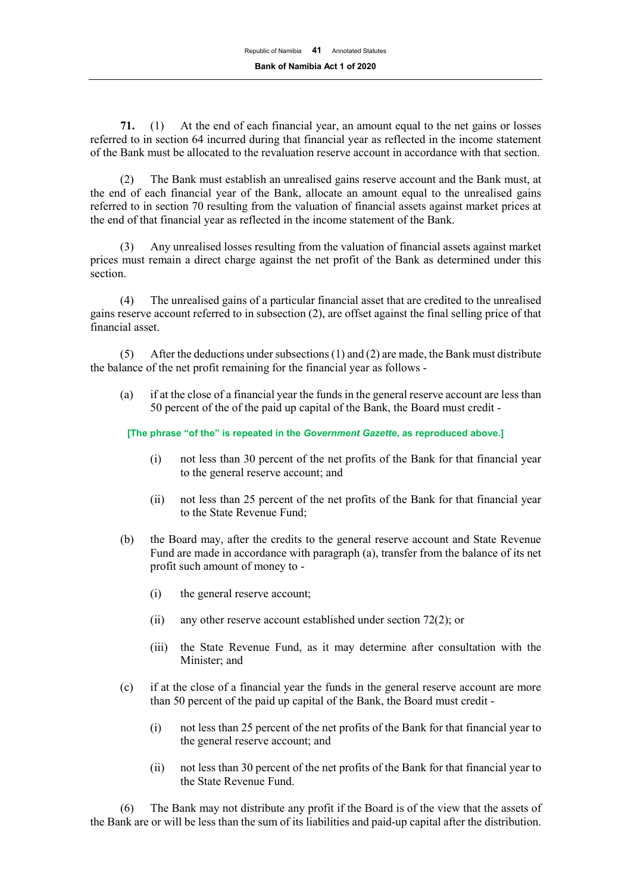**71.** (1) At the end of each financial year, an amount equal to the net gains or losses referred to in section 64 incurred during that financial year as reflected in the income statement of the Bank must be allocated to the revaluation reserve account in accordance with that section.

(2) The Bank must establish an unrealised gains reserve account and the Bank must, at the end of each financial year of the Bank, allocate an amount equal to the unrealised gains referred to in section 70 resulting from the valuation of financial assets against market prices at the end of that financial year as reflected in the income statement of the Bank.

(3) Any unrealised losses resulting from the valuation of financial assets against market prices must remain a direct charge against the net profit of the Bank as determined under this section.

(4) The unrealised gains of a particular financial asset that are credited to the unrealised gains reserve account referred to in subsection (2), are offset against the final selling price of that financial asset.

(5) After the deductions under subsections (1) and (2) are made, the Bank must distribute the balance of the net profit remaining for the financial year as follows -

(a) if at the close of a financial year the funds in the general reserve account are less than 50 percent of the of the paid up capital of the Bank, the Board must credit -

**[The phrase "of the" is repeated in the** *Government Gazette***, as reproduced above.]**

- (i) not less than 30 percent of the net profits of the Bank for that financial year to the general reserve account; and
- (ii) not less than 25 percent of the net profits of the Bank for that financial year to the State Revenue Fund;
- (b) the Board may, after the credits to the general reserve account and State Revenue Fund are made in accordance with paragraph (a), transfer from the balance of its net profit such amount of money to -
	- (i) the general reserve account;
	- (ii) any other reserve account established under section 72(2); or
	- (iii) the State Revenue Fund, as it may determine after consultation with the Minister; and
- (c) if at the close of a financial year the funds in the general reserve account are more than 50 percent of the paid up capital of the Bank, the Board must credit -
	- (i) not less than 25 percent of the net profits of the Bank for that financial year to the general reserve account; and
	- (ii) not less than 30 percent of the net profits of the Bank for that financial year to the State Revenue Fund.

(6) The Bank may not distribute any profit if the Board is of the view that the assets of the Bank are or will be less than the sum of its liabilities and paid-up capital after the distribution.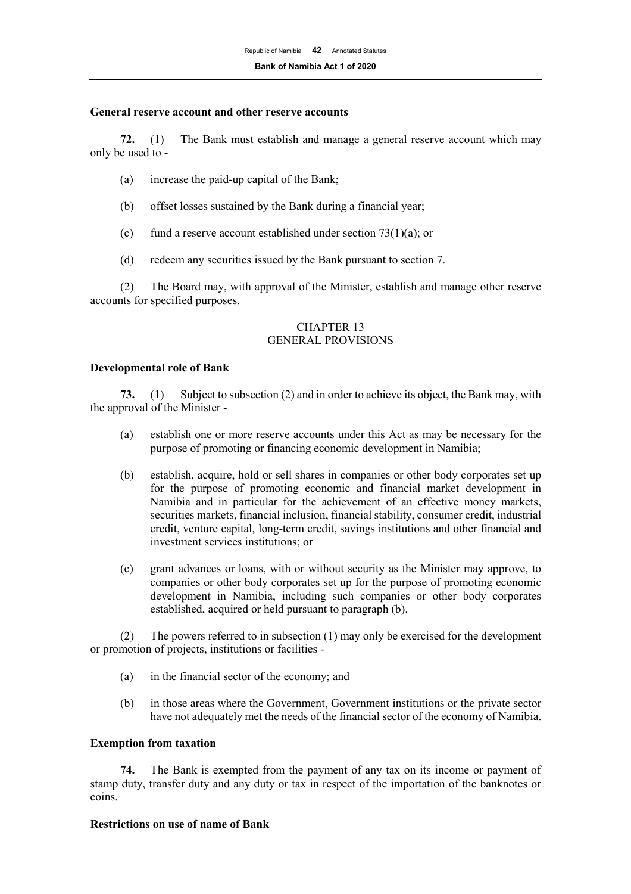#### **General reserve account and other reserve accounts**

**72.** (1) The Bank must establish and manage a general reserve account which may only be used to -

- (a) increase the paid-up capital of the Bank;
- (b) offset losses sustained by the Bank during a financial year;
- (c) fund a reserve account established under section  $73(1)(a)$ ; or
- (d) redeem any securities issued by the Bank pursuant to section 7.

(2) The Board may, with approval of the Minister, establish and manage other reserve accounts for specified purposes.

#### CHAPTER 13 GENERAL PROVISIONS

#### **Developmental role of Bank**

**73.** (1) Subject to subsection (2) and in order to achieve its object, the Bank may, with the approval of the Minister -

- (a) establish one or more reserve accounts under this Act as may be necessary for the purpose of promoting or financing economic development in Namibia;
- (b) establish, acquire, hold or sell shares in companies or other body corporates set up for the purpose of promoting economic and financial market development in Namibia and in particular for the achievement of an effective money markets, securities markets, financial inclusion, financial stability, consumer credit, industrial credit, venture capital, long-term credit, savings institutions and other financial and investment services institutions; or
- (c) grant advances or loans, with or without security as the Minister may approve, to companies or other body corporates set up for the purpose of promoting economic development in Namibia, including such companies or other body corporates established, acquired or held pursuant to paragraph (b).

(2) The powers referred to in subsection (1) may only be exercised for the development or promotion of projects, institutions or facilities -

- (a) in the financial sector of the economy; and
- (b) in those areas where the Government, Government institutions or the private sector have not adequately met the needs of the financial sector of the economy of Namibia.

#### **Exemption from taxation**

**74.** The Bank is exempted from the payment of any tax on its income or payment of stamp duty, transfer duty and any duty or tax in respect of the importation of the banknotes or coins.

#### **Restrictions on use of name of Bank**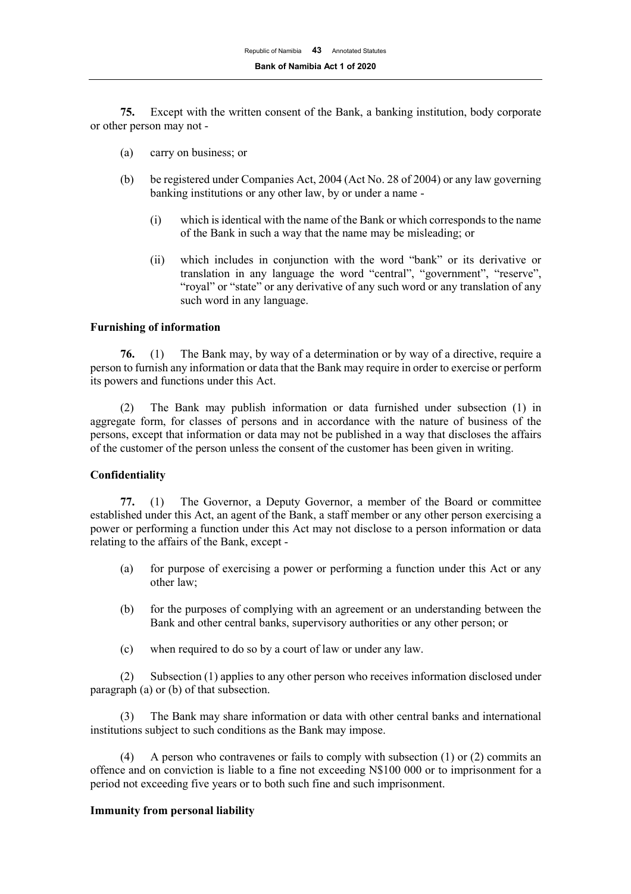**75.** Except with the written consent of the Bank, a banking institution, body corporate or other person may not -

- (a) carry on business; or
- (b) be registered under Companies Act, 2004 (Act No. 28 of 2004) or any law governing banking institutions or any other law, by or under a name -
	- (i) which is identical with the name of the Bank or which corresponds to the name of the Bank in such a way that the name may be misleading; or
	- (ii) which includes in conjunction with the word "bank" or its derivative or translation in any language the word "central", "government", "reserve", "royal" or "state" or any derivative of any such word or any translation of any such word in any language.

#### **Furnishing of information**

**76.** (1) The Bank may, by way of a determination or by way of a directive, require a person to furnish any information or data that the Bank may require in order to exercise or perform its powers and functions under this Act.

(2) The Bank may publish information or data furnished under subsection (1) in aggregate form, for classes of persons and in accordance with the nature of business of the persons, except that information or data may not be published in a way that discloses the affairs of the customer of the person unless the consent of the customer has been given in writing.

#### **Confidentiality**

**77.** (1) The Governor, a Deputy Governor, a member of the Board or committee established under this Act, an agent of the Bank, a staff member or any other person exercising a power or performing a function under this Act may not disclose to a person information or data relating to the affairs of the Bank, except -

- (a) for purpose of exercising a power or performing a function under this Act or any other law;
- (b) for the purposes of complying with an agreement or an understanding between the Bank and other central banks, supervisory authorities or any other person; or
- (c) when required to do so by a court of law or under any law.

(2) Subsection (1) applies to any other person who receives information disclosed under paragraph (a) or (b) of that subsection.

(3) The Bank may share information or data with other central banks and international institutions subject to such conditions as the Bank may impose.

(4) A person who contravenes or fails to comply with subsection (1) or (2) commits an offence and on conviction is liable to a fine not exceeding N\$100 000 or to imprisonment for a period not exceeding five years or to both such fine and such imprisonment.

#### **Immunity from personal liability**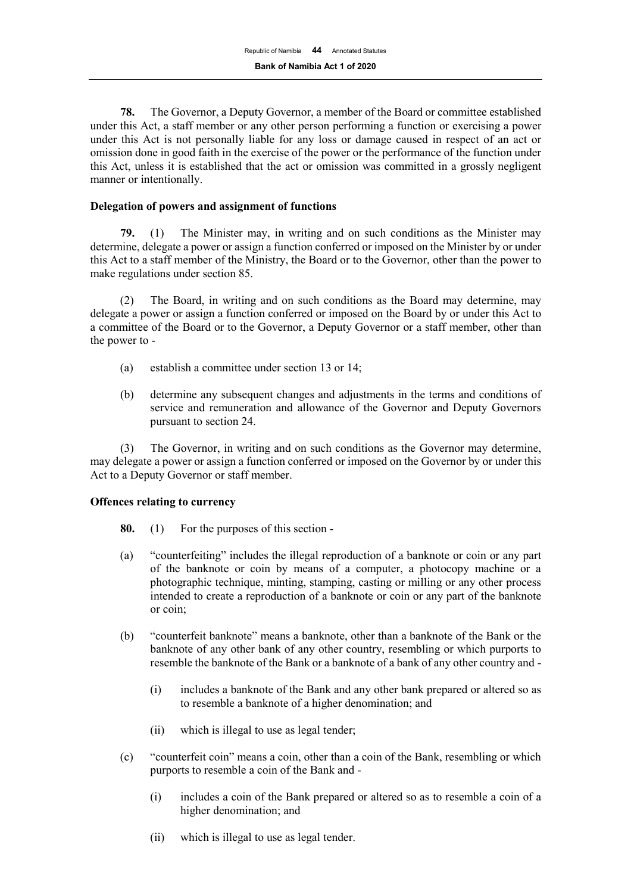**78.** The Governor, a Deputy Governor, a member of the Board or committee established under this Act, a staff member or any other person performing a function or exercising a power under this Act is not personally liable for any loss or damage caused in respect of an act or omission done in good faith in the exercise of the power or the performance of the function under this Act, unless it is established that the act or omission was committed in a grossly negligent manner or intentionally.

## **Delegation of powers and assignment of functions**

**79.** (1) The Minister may, in writing and on such conditions as the Minister may determine, delegate a power or assign a function conferred or imposed on the Minister by or under this Act to a staff member of the Ministry, the Board or to the Governor, other than the power to make regulations under section 85.

(2) The Board, in writing and on such conditions as the Board may determine, may delegate a power or assign a function conferred or imposed on the Board by or under this Act to a committee of the Board or to the Governor, a Deputy Governor or a staff member, other than the power to -

- (a) establish a committee under section 13 or 14;
- (b) determine any subsequent changes and adjustments in the terms and conditions of service and remuneration and allowance of the Governor and Deputy Governors pursuant to section 24.

(3) The Governor, in writing and on such conditions as the Governor may determine, may delegate a power or assign a function conferred or imposed on the Governor by or under this Act to a Deputy Governor or staff member.

## **Offences relating to currency**

- **80.** (1) For the purposes of this section -
- (a) "counterfeiting" includes the illegal reproduction of a banknote or coin or any part of the banknote or coin by means of a computer, a photocopy machine or a photographic technique, minting, stamping, casting or milling or any other process intended to create a reproduction of a banknote or coin or any part of the banknote or coin;
- (b) "counterfeit banknote" means a banknote, other than a banknote of the Bank or the banknote of any other bank of any other country, resembling or which purports to resemble the banknote of the Bank or a banknote of a bank of any other country and -
	- (i) includes a banknote of the Bank and any other bank prepared or altered so as to resemble a banknote of a higher denomination; and
	- (ii) which is illegal to use as legal tender;
- (c) "counterfeit coin" means a coin, other than a coin of the Bank, resembling or which purports to resemble a coin of the Bank and -
	- (i) includes a coin of the Bank prepared or altered so as to resemble a coin of a higher denomination; and
	- (ii) which is illegal to use as legal tender.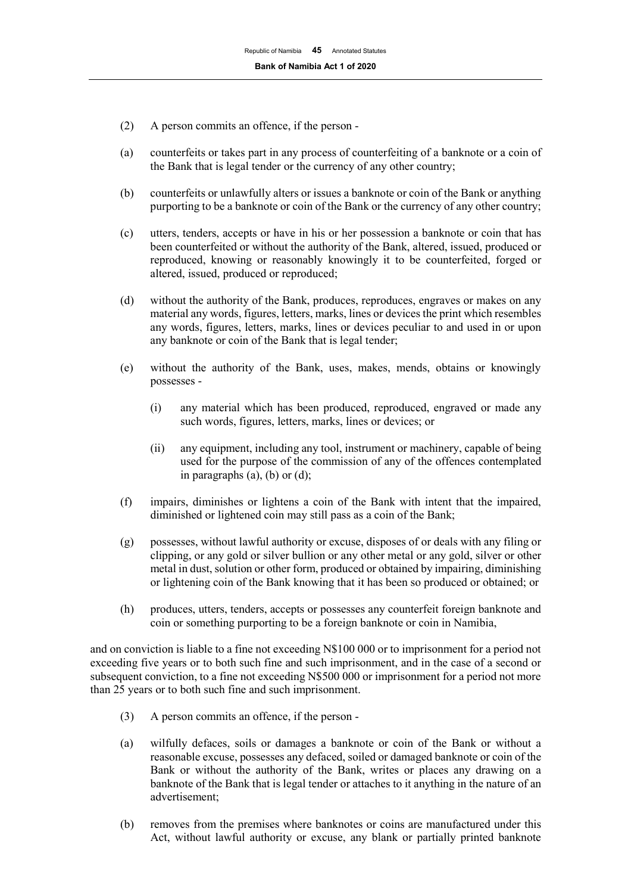- (2) A person commits an offence, if the person -
- (a) counterfeits or takes part in any process of counterfeiting of a banknote or a coin of the Bank that is legal tender or the currency of any other country;
- (b) counterfeits or unlawfully alters or issues a banknote or coin of the Bank or anything purporting to be a banknote or coin of the Bank or the currency of any other country;
- (c) utters, tenders, accepts or have in his or her possession a banknote or coin that has been counterfeited or without the authority of the Bank, altered, issued, produced or reproduced, knowing or reasonably knowingly it to be counterfeited, forged or altered, issued, produced or reproduced;
- (d) without the authority of the Bank, produces, reproduces, engraves or makes on any material any words, figures, letters, marks, lines or devices the print which resembles any words, figures, letters, marks, lines or devices peculiar to and used in or upon any banknote or coin of the Bank that is legal tender;
- (e) without the authority of the Bank, uses, makes, mends, obtains or knowingly possesses -
	- (i) any material which has been produced, reproduced, engraved or made any such words, figures, letters, marks, lines or devices; or
	- (ii) any equipment, including any tool, instrument or machinery, capable of being used for the purpose of the commission of any of the offences contemplated in paragraphs  $(a)$ ,  $(b)$  or  $(d)$ ;
- (f) impairs, diminishes or lightens a coin of the Bank with intent that the impaired, diminished or lightened coin may still pass as a coin of the Bank;
- (g) possesses, without lawful authority or excuse, disposes of or deals with any filing or clipping, or any gold or silver bullion or any other metal or any gold, silver or other metal in dust, solution or other form, produced or obtained by impairing, diminishing or lightening coin of the Bank knowing that it has been so produced or obtained; or
- (h) produces, utters, tenders, accepts or possesses any counterfeit foreign banknote and coin or something purporting to be a foreign banknote or coin in Namibia,

and on conviction is liable to a fine not exceeding N\$100 000 or to imprisonment for a period not exceeding five years or to both such fine and such imprisonment, and in the case of a second or subsequent conviction, to a fine not exceeding N\$500 000 or imprisonment for a period not more than 25 years or to both such fine and such imprisonment.

- (3) A person commits an offence, if the person -
- (a) wilfully defaces, soils or damages a banknote or coin of the Bank or without a reasonable excuse, possesses any defaced, soiled or damaged banknote or coin of the Bank or without the authority of the Bank, writes or places any drawing on a banknote of the Bank that is legal tender or attaches to it anything in the nature of an advertisement;
- (b) removes from the premises where banknotes or coins are manufactured under this Act, without lawful authority or excuse, any blank or partially printed banknote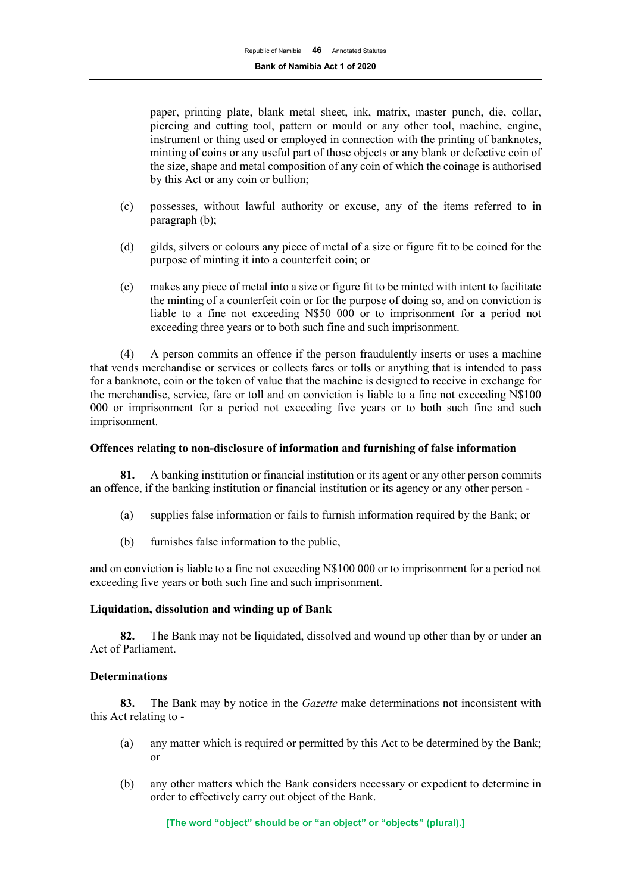paper, printing plate, blank metal sheet, ink, matrix, master punch, die, collar, piercing and cutting tool, pattern or mould or any other tool, machine, engine, instrument or thing used or employed in connection with the printing of banknotes, minting of coins or any useful part of those objects or any blank or defective coin of the size, shape and metal composition of any coin of which the coinage is authorised by this Act or any coin or bullion;

- (c) possesses, without lawful authority or excuse, any of the items referred to in paragraph (b);
- (d) gilds, silvers or colours any piece of metal of a size or figure fit to be coined for the purpose of minting it into a counterfeit coin; or
- (e) makes any piece of metal into a size or figure fit to be minted with intent to facilitate the minting of a counterfeit coin or for the purpose of doing so, and on conviction is liable to a fine not exceeding N\$50 000 or to imprisonment for a period not exceeding three years or to both such fine and such imprisonment.

(4) A person commits an offence if the person fraudulently inserts or uses a machine that vends merchandise or services or collects fares or tolls or anything that is intended to pass for a banknote, coin or the token of value that the machine is designed to receive in exchange for the merchandise, service, fare or toll and on conviction is liable to a fine not exceeding N\$100 000 or imprisonment for a period not exceeding five years or to both such fine and such imprisonment.

## **Offences relating to non-disclosure of information and furnishing of false information**

**81.** A banking institution or financial institution or its agent or any other person commits an offence, if the banking institution or financial institution or its agency or any other person -

- (a) supplies false information or fails to furnish information required by the Bank; or
- (b) furnishes false information to the public,

and on conviction is liable to a fine not exceeding N\$100 000 or to imprisonment for a period not exceeding five years or both such fine and such imprisonment.

# **Liquidation, dissolution and winding up of Bank**

**82.** The Bank may not be liquidated, dissolved and wound up other than by or under an Act of Parliament.

## **Determinations**

**83.** The Bank may by notice in the *Gazette* make determinations not inconsistent with this Act relating to -

- (a) any matter which is required or permitted by this Act to be determined by the Bank; or
- (b) any other matters which the Bank considers necessary or expedient to determine in order to effectively carry out object of the Bank.

**[The word "object" should be or "an object" or "objects" (plural).]**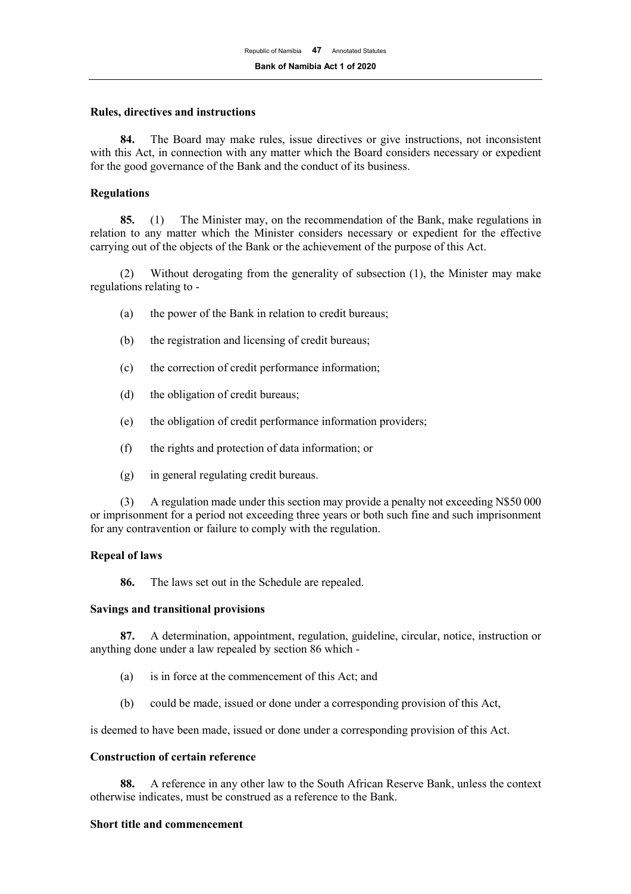#### **Rules, directives and instructions**

**84.** The Board may make rules, issue directives or give instructions, not inconsistent with this Act, in connection with any matter which the Board considers necessary or expedient for the good governance of the Bank and the conduct of its business.

#### **Regulations**

**85.** (1) The Minister may, on the recommendation of the Bank, make regulations in relation to any matter which the Minister considers necessary or expedient for the effective carrying out of the objects of the Bank or the achievement of the purpose of this Act.

(2) Without derogating from the generality of subsection (1), the Minister may make regulations relating to -

- (a) the power of the Bank in relation to credit bureaus;
- (b) the registration and licensing of credit bureaus;
- (c) the correction of credit performance information;
- (d) the obligation of credit bureaus;
- (e) the obligation of credit performance information providers;
- (f) the rights and protection of data information; or
- (g) in general regulating credit bureaus.

(3) A regulation made under this section may provide a penalty not exceeding N\$50 000 or imprisonment for a period not exceeding three years or both such fine and such imprisonment for any contravention or failure to comply with the regulation.

## **Repeal of laws**

**86.** The laws set out in the Schedule are repealed.

## **Savings and transitional provisions**

**87.** A determination, appointment, regulation, guideline, circular, notice, instruction or anything done under a law repealed by section 86 which -

- (a) is in force at the commencement of this Act; and
- (b) could be made, issued or done under a corresponding provision of this Act,

is deemed to have been made, issued or done under a corresponding provision of this Act.

## **Construction of certain reference**

**88.** A reference in any other law to the South African Reserve Bank, unless the context otherwise indicates, must be construed as a reference to the Bank.

#### **Short title and commencement**